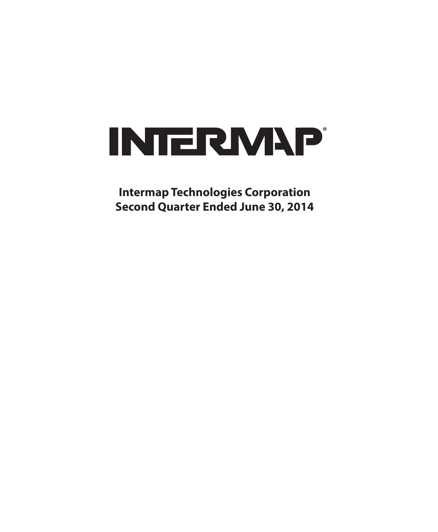

**Intermap Technologies Corporation Second Quarter Ended June 30, 2014**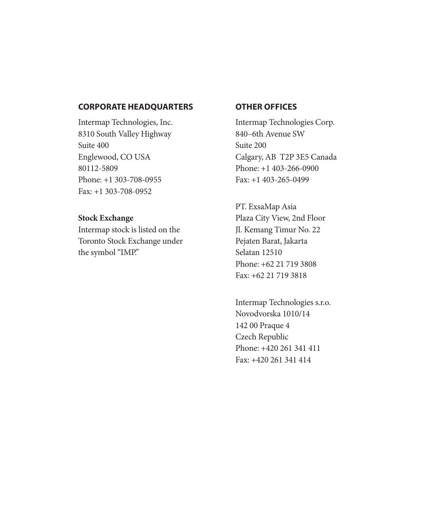#### **CORPORATE HEADQUARTERS**

Intermap Technologies, Inc. 8310 South Valley Highway Suite 400 Englewood, CO USA 80112-5809 Phone: +1 303-708-0955 Fax: +1 303-708-0952

**Stock Exchange** Intermap stock is listed on the Toronto Stock Exchange under the symbol "IMP."

#### **OTHER OFFICES**

Intermap Technologies Corp. 840–6th Avenue SW Suite 200 Calgary, AB T2P 3E5 Canada Phone: +1 403-266-0900 Fax: +1 403-265-0499

PT. ExsaMap Asia Plaza City View, 2nd Floor Jl. Kemang Timur No. 22 Pejaten Barat, Jakarta Selatan 12510 Phone: +62 21 719 3808 Fax: +62 21 719 3818

Intermap Technologies s.r.o. Novodvorska 1010/14 142 00 Praque 4 Czech Republic Phone: +420 261 341 411 Fax: +420 261 341 414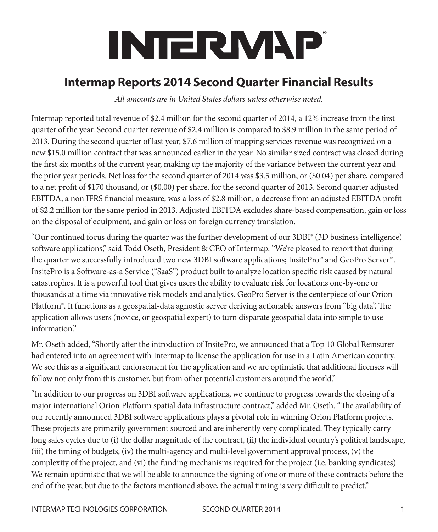# **INTERMAP**

# **Intermap Reports 2014 Second Quarter Financial Results**

*All amounts are in United States dollars unless otherwise noted.*

Intermap reported total revenue of \$2.4 million for the second quarter of 2014, a 12% increase from the first quarter of the year. Second quarter revenue of \$2.4 million is compared to \$8.9 million in the same period of 2013. During the second quarter of last year, \$7.6 million of mapping services revenue was recognized on a new \$15.0 million contract that was announced earlier in the year. No similar sized contract was closed during the first six months of the current year, making up the majority of the variance between the current year and the prior year periods. Net loss for the second quarter of 2014 was \$3.5 million, or (\$0.04) per share, compared to a net profit of \$170 thousand, or (\$0.00) per share, for the second quarter of 2013. Second quarter adjusted EBITDA, a non IFRS financial measure, was a loss of \$2.8 million, a decrease from an adjusted EBITDA profit of \$2.2 million for the same period in 2013. Adjusted EBITDA excludes share-based compensation, gain or loss on the disposal of equipment, and gain or loss on foreign currency translation.

"Our continued focus during the quarter was the further development of our 3DBI® (3D business intelligence) software applications," said Todd Oseth, President & CEO of Intermap. "We're pleased to report that during the quarter we successfully introduced two new 3DBI software applications; InsitePro™ and GeoPro Server™. InsitePro is a Software-as-a Service ("SaaS") product built to analyze location specific risk caused by natural catastrophes. It is a powerful tool that gives users the ability to evaluate risk for locations one-by-one or thousands at a time via innovative risk models and analytics. GeoPro Server is the centerpiece of our Orion Platform®. It functions as a geospatial-data agnostic server deriving actionable answers from "big data". The application allows users (novice, or geospatial expert) to turn disparate geospatial data into simple to use information."

Mr. Oseth added, "Shortly after the introduction of InsitePro, we announced that a Top 10 Global Reinsurer had entered into an agreement with Intermap to license the application for use in a Latin American country. We see this as a significant endorsement for the application and we are optimistic that additional licenses will follow not only from this customer, but from other potential customers around the world."

"In addition to our progress on 3DBI software applications, we continue to progress towards the closing of a major international Orion Platform spatial data infrastructure contract," added Mr. Oseth. "The availability of our recently announced 3DBI software applications plays a pivotal role in winning Orion Platform projects. These projects are primarily government sourced and are inherently very complicated. They typically carry long sales cycles due to (i) the dollar magnitude of the contract, (ii) the individual country's political landscape, (iii) the timing of budgets, (iv) the multi-agency and multi-level government approval process, (v) the complexity of the project, and (vi) the funding mechanisms required for the project (i.e. banking syndicates). We remain optimistic that we will be able to announce the signing of one or more of these contracts before the end of the year, but due to the factors mentioned above, the actual timing is very difficult to predict."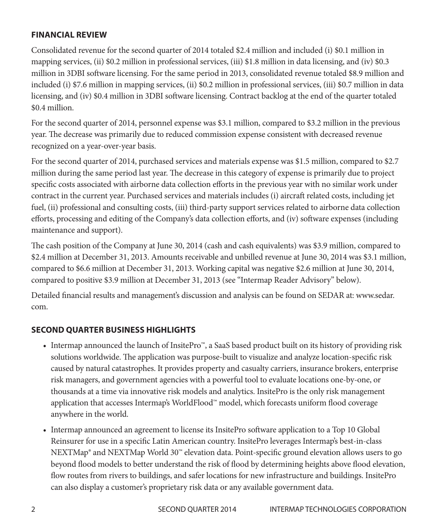#### **FINANCIAL REVIEW**

Consolidated revenue for the second quarter of 2014 totaled \$2.4 million and included (i) \$0.1 million in mapping services, (ii) \$0.2 million in professional services, (iii) \$1.8 million in data licensing, and (iv) \$0.3 million in 3DBI software licensing. For the same period in 2013, consolidated revenue totaled \$8.9 million and included (i) \$7.6 million in mapping services, (ii) \$0.2 million in professional services, (iii) \$0.7 million in data licensing, and (iv) \$0.4 million in 3DBI software licensing. Contract backlog at the end of the quarter totaled \$0.4 million.

For the second quarter of 2014, personnel expense was \$3.1 million, compared to \$3.2 million in the previous year. The decrease was primarily due to reduced commission expense consistent with decreased revenue recognized on a year-over-year basis.

For the second quarter of 2014, purchased services and materials expense was \$1.5 million, compared to \$2.7 million during the same period last year. The decrease in this category of expense is primarily due to project specific costs associated with airborne data collection efforts in the previous year with no similar work under contract in the current year. Purchased services and materials includes (i) aircraft related costs, including jet fuel, (ii) professional and consulting costs, (iii) third-party support services related to airborne data collection efforts, processing and editing of the Company's data collection efforts, and (iv) software expenses (including maintenance and support).

The cash position of the Company at June 30, 2014 (cash and cash equivalents) was \$3.9 million, compared to \$2.4 million at December 31, 2013. Amounts receivable and unbilled revenue at June 30, 2014 was \$3.1 million, compared to \$6.6 million at December 31, 2013. Working capital was negative \$2.6 million at June 30, 2014, compared to positive \$3.9 million at December 31, 2013 (see "Intermap Reader Advisory" below).

Detailed financial results and management's discussion and analysis can be found on SEDAR at: www.sedar. com.

#### **SECOND QUARTER BUSINESS HIGHLIGHTS**

- Intermap announced the launch of InsitePro™, a SaaS based product built on its history of providing risk solutions worldwide. The application was purpose-built to visualize and analyze location-specific risk caused by natural catastrophes. It provides property and casualty carriers, insurance brokers, enterprise risk managers, and government agencies with a powerful tool to evaluate locations one-by-one, or thousands at a time via innovative risk models and analytics. InsitePro is the only risk management application that accesses Intermap's WorldFlood™ model, which forecasts uniform flood coverage anywhere in the world.
- Intermap announced an agreement to license its InsitePro software application to a Top 10 Global Reinsurer for use in a specific Latin American country. InsitePro leverages Intermap's best-in-class NEXTMap® and NEXTMap World 30™ elevation data. Point-specific ground elevation allows users to go beyond flood models to better understand the risk of flood by determining heights above flood elevation, flow routes from rivers to buildings, and safer locations for new infrastructure and buildings. InsitePro can also display a customer's proprietary risk data or any available government data.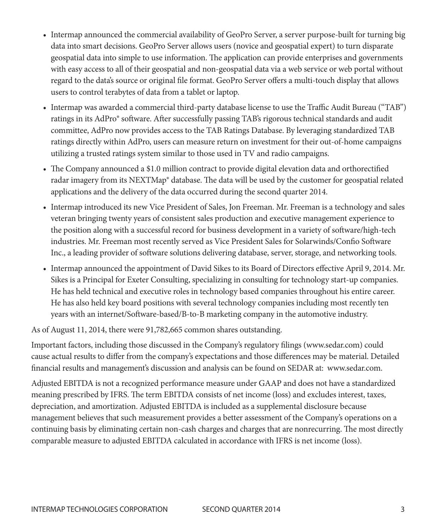- Intermap announced the commercial availability of GeoPro Server, a server purpose-built for turning big data into smart decisions. GeoPro Server allows users (novice and geospatial expert) to turn disparate geospatial data into simple to use information. The application can provide enterprises and governments with easy access to all of their geospatial and non-geospatial data via a web service or web portal without regard to the data's source or original file format. GeoPro Server offers a multi-touch display that allows users to control terabytes of data from a tablet or laptop.
- Intermap was awarded a commercial third-party database license to use the Traffic Audit Bureau ("TAB") ratings in its AdPro® software. After successfully passing TAB's rigorous technical standards and audit committee, AdPro now provides access to the TAB Ratings Database. By leveraging standardized TAB ratings directly within AdPro, users can measure return on investment for their out-of-home campaigns utilizing a trusted ratings system similar to those used in TV and radio campaigns.
- The Company announced a \$1.0 million contract to provide digital elevation data and orthorectified radar imagery from its NEXTMap® database. The data will be used by the customer for geospatial related applications and the delivery of the data occurred during the second quarter 2014.
- Intermap introduced its new Vice President of Sales, Jon Freeman. Mr. Freeman is a technology and sales veteran bringing twenty years of consistent sales production and executive management experience to the position along with a successful record for business development in a variety of software/high-tech industries. Mr. Freeman most recently served as Vice President Sales for Solarwinds/Confio Software Inc., a leading provider of software solutions delivering database, server, storage, and networking tools.
- Intermap announced the appointment of David Sikes to its Board of Directors effective April 9, 2014. Mr. Sikes is a Principal for Exeter Consulting, specializing in consulting for technology start-up companies. He has held technical and executive roles in technology based companies throughout his entire career. He has also held key board positions with several technology companies including most recently ten years with an internet/Software-based/B-to-B marketing company in the automotive industry.

As of August 11, 2014, there were 91,782,665 common shares outstanding.

Important factors, including those discussed in the Company's regulatory filings (www.sedar.com) could cause actual results to differ from the company's expectations and those differences may be material. Detailed financial results and management's discussion and analysis can be found on SEDAR at: www.sedar.com.

Adjusted EBITDA is not a recognized performance measure under GAAP and does not have a standardized meaning prescribed by IFRS. The term EBITDA consists of net income (loss) and excludes interest, taxes, depreciation, and amortization. Adjusted EBITDA is included as a supplemental disclosure because management believes that such measurement provides a better assessment of the Company's operations on a continuing basis by eliminating certain non-cash charges and charges that are nonrecurring. The most directly comparable measure to adjusted EBITDA calculated in accordance with IFRS is net income (loss).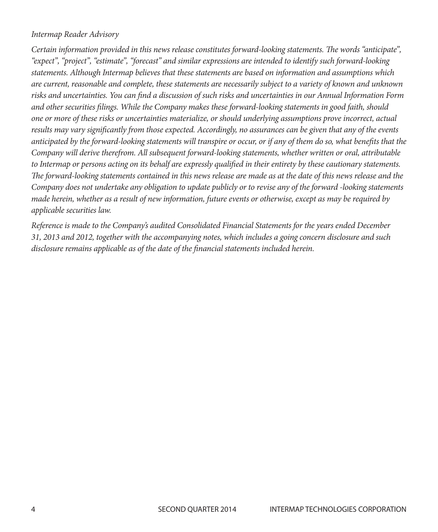#### *Intermap Reader Advisory*

*Certain information provided in this news release constitutes forward-looking statements. The words "anticipate", "expect", "project", "estimate", "forecast" and similar expressions are intended to identify such forward-looking statements. Although Intermap believes that these statements are based on information and assumptions which are current, reasonable and complete, these statements are necessarily subject to a variety of known and unknown risks and uncertainties. You can find a discussion of such risks and uncertainties in our Annual Information Form and other securities filings. While the Company makes these forward-looking statements in good faith, should one or more of these risks or uncertainties materialize, or should underlying assumptions prove incorrect, actual results may vary significantly from those expected. Accordingly, no assurances can be given that any of the events anticipated by the forward-looking statements will transpire or occur, or if any of them do so, what benefits that the Company will derive therefrom. All subsequent forward-looking statements, whether written or oral, attributable to Intermap or persons acting on its behalf are expressly qualified in their entirety by these cautionary statements. The forward-looking statements contained in this news release are made as at the date of this news release and the Company does not undertake any obligation to update publicly or to revise any of the forward -looking statements made herein, whether as a result of new information, future events or otherwise, except as may be required by applicable securities law.*

*Reference is made to the Company's audited Consolidated Financial Statements for the years ended December 31, 2013 and 2012, together with the accompanying notes, which includes a going concern disclosure and such disclosure remains applicable as of the date of the financial statements included herein.*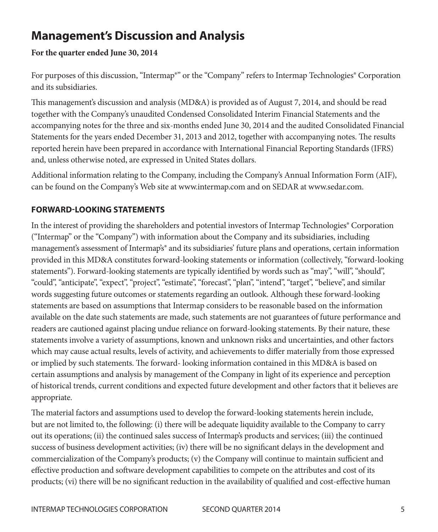# **Management's Discussion and Analysis**

#### **For the quarter ended June 30, 2014**

For purposes of this discussion, "Intermap®" or the "Company" refers to Intermap Technologies® Corporation and its subsidiaries.

This management's discussion and analysis (MD&A) is provided as of August 7, 2014, and should be read together with the Company's unaudited Condensed Consolidated Interim Financial Statements and the accompanying notes for the three and six-months ended June 30, 2014 and the audited Consolidated Financial Statements for the years ended December 31, 2013 and 2012, together with accompanying notes. The results reported herein have been prepared in accordance with International Financial Reporting Standards (IFRS) and, unless otherwise noted, are expressed in United States dollars.

Additional information relating to the Company, including the Company's Annual Information Form (AIF), can be found on the Company's Web site at www.intermap.com and on SEDAR at www.sedar.com.

#### **FORWARD-LOOKING STATEMENTS**

In the interest of providing the shareholders and potential investors of Intermap Technologies® Corporation ("Intermap" or the "Company") with information about the Company and its subsidiaries, including management's assessment of Intermap's<sup>®</sup> and its subsidiaries' future plans and operations, certain information provided in this MD&A constitutes forward-looking statements or information (collectively, "forward-looking statements"). Forward-looking statements are typically identified by words such as "may", "will", "should", "could", "anticipate", "expect", "project", "estimate", "forecast", "plan", "intend", "target", "believe", and similar words suggesting future outcomes or statements regarding an outlook. Although these forward-looking statements are based on assumptions that Intermap considers to be reasonable based on the information available on the date such statements are made, such statements are not guarantees of future performance and readers are cautioned against placing undue reliance on forward-looking statements. By their nature, these statements involve a variety of assumptions, known and unknown risks and uncertainties, and other factors which may cause actual results, levels of activity, and achievements to differ materially from those expressed or implied by such statements. The forward- looking information contained in this MD&A is based on certain assumptions and analysis by management of the Company in light of its experience and perception of historical trends, current conditions and expected future development and other factors that it believes are appropriate.

The material factors and assumptions used to develop the forward-looking statements herein include, but are not limited to, the following: (i) there will be adequate liquidity available to the Company to carry out its operations; (ii) the continued sales success of Intermap's products and services; (iii) the continued success of business development activities; (iv) there will be no significant delays in the development and commercialization of the Company's products; (v) the Company will continue to maintain sufficient and effective production and software development capabilities to compete on the attributes and cost of its products; (vi) there will be no significant reduction in the availability of qualified and cost-effective human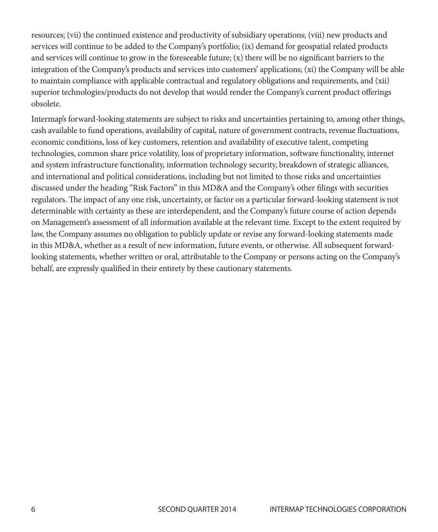resources; (vii) the continued existence and productivity of subsidiary operations; (viii) new products and services will continue to be added to the Company's portfolio; (ix) demand for geospatial related products and services will continue to grow in the foreseeable future; (x) there will be no significant barriers to the integration of the Company's products and services into customers' applications; (xi) the Company will be able to maintain compliance with applicable contractual and regulatory obligations and requirements, and (xii) superior technologies/products do not develop that would render the Company's current product offerings obsolete.

Intermap's forward-looking statements are subject to risks and uncertainties pertaining to, among other things, cash available to fund operations, availability of capital, nature of government contracts, revenue fluctuations, economic conditions, loss of key customers, retention and availability of executive talent, competing technologies, common share price volatility, loss of proprietary information, software functionality, internet and system infrastructure functionality, information technology security, breakdown of strategic alliances, and international and political considerations, including but not limited to those risks and uncertainties discussed under the heading "Risk Factors" in this MD&A and the Company's other filings with securities regulators. The impact of any one risk, uncertainty, or factor on a particular forward-looking statement is not determinable with certainty as these are interdependent, and the Company's future course of action depends on Management's assessment of all information available at the relevant time. Except to the extent required by law, the Company assumes no obligation to publicly update or revise any forward-looking statements made in this MD&A, whether as a result of new information, future events, or otherwise. All subsequent forwardlooking statements, whether written or oral, attributable to the Company or persons acting on the Company's behalf, are expressly qualified in their entirety by these cautionary statements.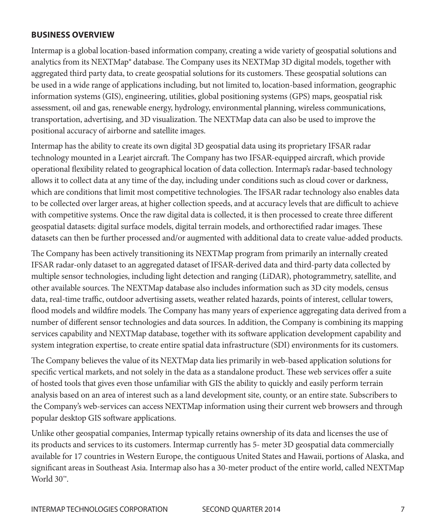#### **BUSINESS OVERVIEW**

Intermap is a global location-based information company, creating a wide variety of geospatial solutions and analytics from its NEXTMap® database. The Company uses its NEXTMap 3D digital models, together with aggregated third party data, to create geospatial solutions for its customers. These geospatial solutions can be used in a wide range of applications including, but not limited to, location-based information, geographic information systems (GIS), engineering, utilities, global positioning systems (GPS) maps, geospatial risk assessment, oil and gas, renewable energy, hydrology, environmental planning, wireless communications, transportation, advertising, and 3D visualization. The NEXTMap data can also be used to improve the positional accuracy of airborne and satellite images.

Intermap has the ability to create its own digital 3D geospatial data using its proprietary IFSAR radar technology mounted in a Learjet aircraft. The Company has two IFSAR-equipped aircraft, which provide operational flexibility related to geographical location of data collection. Intermap's radar-based technology allows it to collect data at any time of the day, including under conditions such as cloud cover or darkness, which are conditions that limit most competitive technologies. The IFSAR radar technology also enables data to be collected over larger areas, at higher collection speeds, and at accuracy levels that are difficult to achieve with competitive systems. Once the raw digital data is collected, it is then processed to create three different geospatial datasets: digital surface models, digital terrain models, and orthorectified radar images. These datasets can then be further processed and/or augmented with additional data to create value-added products.

The Company has been actively transitioning its NEXTMap program from primarily an internally created IFSAR radar-only dataset to an aggregated dataset of IFSAR-derived data and third-party data collected by multiple sensor technologies, including light detection and ranging (LiDAR), photogrammetry, satellite, and other available sources. The NEXTMap database also includes information such as 3D city models, census data, real-time traffic, outdoor advertising assets, weather related hazards, points of interest, cellular towers, flood models and wildfire models. The Company has many years of experience aggregating data derived from a number of different sensor technologies and data sources. In addition, the Company is combining its mapping services capability and NEXTMap database, together with its software application development capability and system integration expertise, to create entire spatial data infrastructure (SDI) environments for its customers.

The Company believes the value of its NEXTMap data lies primarily in web-based application solutions for specific vertical markets, and not solely in the data as a standalone product. These web services offer a suite of hosted tools that gives even those unfamiliar with GIS the ability to quickly and easily perform terrain analysis based on an area of interest such as a land development site, county, or an entire state. Subscribers to the Company's web-services can access NEXTMap information using their current web browsers and through popular desktop GIS software applications.

Unlike other geospatial companies, Intermap typically retains ownership of its data and licenses the use of its products and services to its customers. Intermap currently has 5- meter 3D geospatial data commercially available for 17 countries in Western Europe, the contiguous United States and Hawaii, portions of Alaska, and significant areas in Southeast Asia. Intermap also has a 30-meter product of the entire world, called NEXTMap World 30™.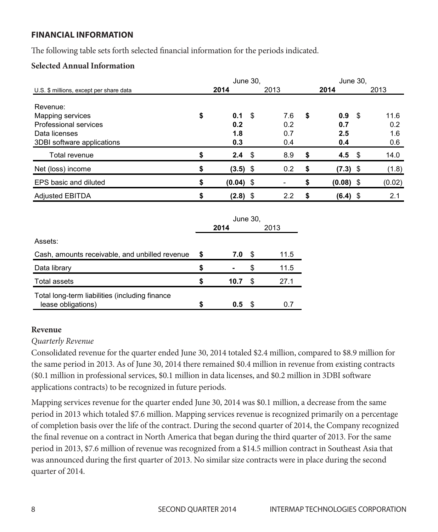#### **FINANCIAL INFORMATION**  THE FOLLOWING TABLE SETS FOR THE PERIODS INFORMATION FOR THE PERIODS IN  $\mathcal{L}$

The following table sets forth selected financial information for the periods indicated.

# **Selected Annual Information Selected Annual Information**

|                                                                        | June 30.                |      |                   | June 30,                |      |                    |
|------------------------------------------------------------------------|-------------------------|------|-------------------|-------------------------|------|--------------------|
| U.S. \$ millions, except per share data                                | 2014                    |      | 2013              | 2014                    |      | 2013               |
| Revenue:<br>Mapping services<br>Professional services<br>Data licenses | \$<br>0.1<br>0.2<br>1.8 | - \$ | 7.6<br>0.2<br>0.7 | \$<br>0.9<br>0.7<br>2.5 | - \$ | 11.6<br>0.2<br>1.6 |
| 3DBI software applications                                             | 0.3                     |      | 0.4               | 0.4                     |      | 0.6                |
| Total revenue                                                          | \$<br>$2.4 \quad$       |      | 8.9               | \$<br>4.5 $\sqrt{3}$    |      | 14.0               |
| Net (loss) income                                                      | \$<br>$(3.5)$ \$        |      | 0.2               | \$<br>$(7.3)$ \$        |      | (1.8)              |
| EPS basic and diluted                                                  | \$<br>$(0.04)$ \$       |      |                   | \$<br>$(0.08)$ \$       |      | (0.02)             |
| <b>Adjusted EBITDA</b>                                                 | \$<br>$(2.8)$ \$        |      | 2.2               | \$<br>$(6.4)$ \$        |      | 2.1                |
|                                                                        | June 30.                |      |                   |                         |      |                    |

|                                                                      | uunu uu. |      |    |      |  |  |  |  |  |
|----------------------------------------------------------------------|----------|------|----|------|--|--|--|--|--|
|                                                                      |          | 2014 |    | 2013 |  |  |  |  |  |
| Assets:                                                              |          |      |    |      |  |  |  |  |  |
| Cash, amounts receivable, and unbilled revenue                       |          | 7.0  | S  | 11.5 |  |  |  |  |  |
| Data library                                                         | S        |      | £. | 11.5 |  |  |  |  |  |
| Total assets                                                         | S        | 10.7 | S  | 27.1 |  |  |  |  |  |
| Total long-term liabilities (including finance<br>lease obligations) |          | 0.5  |    | O.   |  |  |  |  |  |

#### **Revenue**

#### *Quarterly Revenue* **Revenue**

Consolidated revenue for the quarter ended June 30, 2014 totaled \$2.4 million, compared to \$8.9 million for the same period in 2013. As of June 30, 2014 there remained \$0.4 million in revenue from existing contracts (\$0.1 million in professional services, \$0.1 million in data licenses, and \$0.2 million in 3DBI software applications contracts) to be recognized in future periods.

Mapping services revenue for the quarter ended June 30, 2014 was \$0.1 million, a decrease from the same period in 2013 which totaled \$7.6 million. Mapping services revenue is recognized primarily on a percentage 4 of completion basis over the life of the contract. During the second quarter of 2014, the Company recognized the final revenue on a contract in North America that began during the third quarter of 2013. For the same period in 2013, \$7.6 million of revenue was recognized from a \$14.5 million contract in Southeast Asia that was announced during the first quarter of 2013. No similar size contracts were in place during the second quarter of 2014.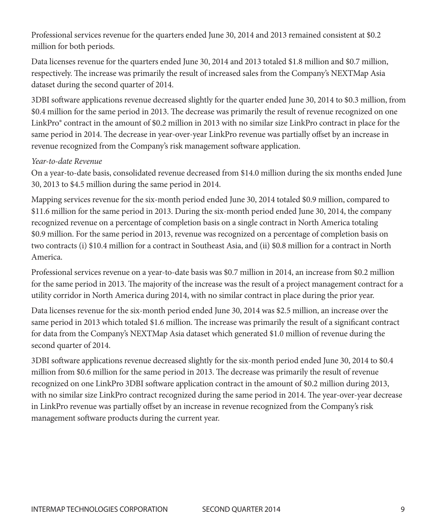Professional services revenue for the quarters ended June 30, 2014 and 2013 remained consistent at \$0.2 million for both periods.

Data licenses revenue for the quarters ended June 30, 2014 and 2013 totaled \$1.8 million and \$0.7 million, respectively. The increase was primarily the result of increased sales from the Company's NEXTMap Asia dataset during the second quarter of 2014.

3DBI software applications revenue decreased slightly for the quarter ended June 30, 2014 to \$0.3 million, from \$0.4 million for the same period in 2013. The decrease was primarily the result of revenue recognized on one LinkPro® contract in the amount of \$0.2 million in 2013 with no similar size LinkPro contract in place for the same period in 2014. The decrease in year-over-year LinkPro revenue was partially offset by an increase in revenue recognized from the Company's risk management software application.

#### *Year-to-date Revenue*

On a year-to-date basis, consolidated revenue decreased from \$14.0 million during the six months ended June 30, 2013 to \$4.5 million during the same period in 2014.

Mapping services revenue for the six-month period ended June 30, 2014 totaled \$0.9 million, compared to \$11.6 million for the same period in 2013. During the six-month period ended June 30, 2014, the company recognized revenue on a percentage of completion basis on a single contract in North America totaling \$0.9 million. For the same period in 2013, revenue was recognized on a percentage of completion basis on two contracts (i) \$10.4 million for a contract in Southeast Asia, and (ii) \$0.8 million for a contract in North America.

Professional services revenue on a year-to-date basis was \$0.7 million in 2014, an increase from \$0.2 million for the same period in 2013. The majority of the increase was the result of a project management contract for a utility corridor in North America during 2014, with no similar contract in place during the prior year.

Data licenses revenue for the six-month period ended June 30, 2014 was \$2.5 million, an increase over the same period in 2013 which totaled \$1.6 million. The increase was primarily the result of a significant contract for data from the Company's NEXTMap Asia dataset which generated \$1.0 million of revenue during the second quarter of 2014.

3DBI software applications revenue decreased slightly for the six-month period ended June 30, 2014 to \$0.4 million from \$0.6 million for the same period in 2013. The decrease was primarily the result of revenue recognized on one LinkPro 3DBI software application contract in the amount of \$0.2 million during 2013, with no similar size LinkPro contract recognized during the same period in 2014. The year-over-year decrease in LinkPro revenue was partially offset by an increase in revenue recognized from the Company's risk management software products during the current year.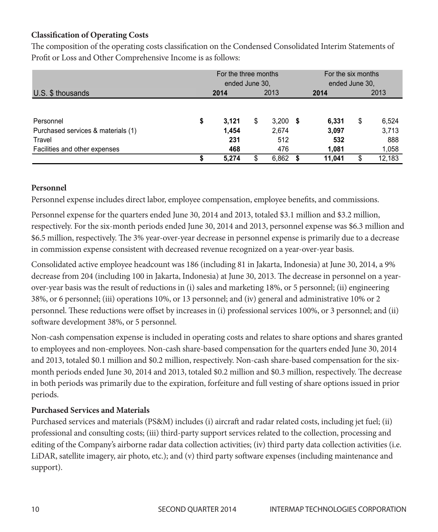# **Classification of Operating Costs Classification of Operating Costs**

The composition of the operating costs classification on the Condensed Consolidated Interim Statements of Profit or Loss and Other Comprehensive Income is as follows:

|                                    | For the three months<br>ended June 30. |   |       | For the six months<br>ended June 30, |        |    |        |  |  |
|------------------------------------|----------------------------------------|---|-------|--------------------------------------|--------|----|--------|--|--|
| U.S. \$ thousands                  | 2014                                   |   | 2013  |                                      | 2014   |    | 2013   |  |  |
| Personnel                          | \$<br>3.121                            | S | 3,200 | 5                                    | 6,331  | \$ | 6,524  |  |  |
| Purchased services & materials (1) | 1.454                                  |   | 2,674 |                                      | 3,097  |    | 3,713  |  |  |
| Travel                             | 231                                    |   | 512   |                                      | 532    |    | 888    |  |  |
| Facilities and other expenses      | 468                                    |   | 476   |                                      | 1,081  |    | 1,058  |  |  |
|                                    | 5.274                                  |   | 6,862 |                                      | 11.041 | \$ | 12,183 |  |  |

#### **Personnel**

Personnel expense includes direct labor, employee compensation, employee benefits, and commissions. Personnel expense includes direct labor, employee compensation, employee compensation, employee benefits, and commissions.

Personnel expense for the quarters ended June 30, 2014 and 2013, totaled \$3.1 million and \$3.2 million, respectively. For the six-month periods ended June 30, 2014 and 2013, personnel expense was \$6.3 million and \$6.5 million, respectively. The 3% year-over-year decrease in personnel expense is primarily due to a decrease in commission expense consistent with decreased revenue recognized on a year-over-year basis. was  $\frac{1}{2}$  million and  $\frac{1}{2}$  million, respectively. The 3% year-over-year-over-year decrease in personnel

Consolidated active employee headcount was 186 (including 81 in Jakarta, Indonesia) at June 30, 2014, a 9% decrease from 204 (including 100 in Jakarta, Indonesia) at June 30, 2013. The decrease in personnel on a yearover-year basis was the result of reductions in (i) sales and marketing 18%, or 5 personnel; (ii) engineering 38%, or 6 personnel; (iii) operations 10%, or 13 personnel; and (iv) general and administrative 10% or 2 personnel. These reductions were offset by increases in (i) professional services 100%, or 3 personnel; and (ii) software development 38%, or 5 personnel.

Non-cash compensation expense is included in operating costs and relates to share options and shares granted 6 to employees and non-employees. Non-cash share-based compensation for the quarters ended June 30, 2014 and 2013, totaled \$0.1 million and \$0.2 million, respectively. Non-cash share-based compensation for the sixmonth periods ended June 30, 2014 and 2013, totaled \$0.2 million and \$0.3 million, respectively. The decrease in both periods was primarily due to the expiration, forfeiture and full vesting of share options issued in prior periods.

#### **Purchased Services and Materials**

Purchased services and materials (PS&M) includes (i) aircraft and radar related costs, including jet fuel; (ii) professional and consulting costs; (iii) third-party support services related to the collection, processing and editing of the Company's airborne radar data collection activities; (iv) third party data collection activities (i.e. LiDAR, satellite imagery, air photo, etc.); and (v) third party software expenses (including maintenance and support).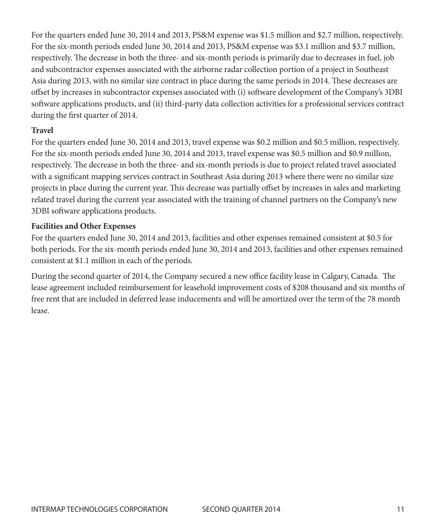For the quarters ended June 30, 2014 and 2013, PS&M expense was \$1.5 million and \$2.7 million, respectively. For the six-month periods ended June 30, 2014 and 2013, PS&M expense was \$3.1 million and \$3.7 million, respectively. The decrease in both the three- and six-month periods is primarily due to decreases in fuel, job and subcontractor expenses associated with the airborne radar collection portion of a project in Southeast Asia during 2013, with no similar size contract in place during the same periods in 2014. These decreases are offset by increases in subcontractor expenses associated with (i) software development of the Company's 3DBI software applications products, and (ii) third-party data collection activities for a professional services contract during the first quarter of 2014.

#### **Travel**

For the quarters ended June 30, 2014 and 2013, travel expense was \$0.2 million and \$0.5 million, respectively. For the six-month periods ended June 30, 2014 and 2013, travel expense was \$0.5 million and \$0.9 million, respectively. The decrease in both the three- and six-month periods is due to project related travel associated with a significant mapping services contract in Southeast Asia during 2013 where there were no similar size projects in place during the current year. This decrease was partially offset by increases in sales and marketing related travel during the current year associated with the training of channel partners on the Company's new 3DBI software applications products.

#### **Facilities and Other Expenses**

For the quarters ended June 30, 2014 and 2013, facilities and other expenses remained consistent at \$0.5 for both periods. For the six-month periods ended June 30, 2014 and 2013, facilities and other expenses remained consistent at \$1.1 million in each of the periods.

During the second quarter of 2014, the Company secured a new office facility lease in Calgary, Canada. The lease agreement included reimbursement for leasehold improvement costs of \$208 thousand and six months of free rent that are included in deferred lease inducements and will be amortized over the term of the 78 month lease.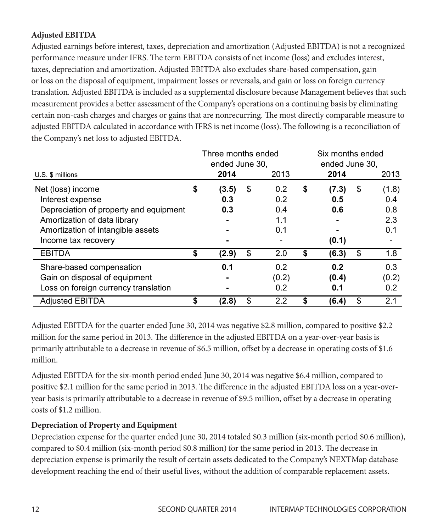#### **Adjusted EBITDA**

Adjusted earnings before interest, taxes, depreciation and amortization (Adjusted EBITDA) is not a recognized performance measure under IFRS. The term EBITDA consists of net income (loss) and excludes interest, taxes, depreciation and amortization. Adjusted EBITDA also excludes share-based compensation, gain or loss on the disposal of equipment, impairment losses or reversals, and gain or loss on foreign currency translation. Adjusted EBITDA is included as a supplemental disclosure because Management believes that such measurement provides a better assessment of the Company's operations on a continuing basis by eliminating certain non-cash charges and charges or gains that are nonrecurring. The most directly comparable measure to ecruant non-east enarges and enarges or gains that are nonrecurring. The most uncerly comparable measure with  $TRS$  is net income (loss). The following is a reconciliation of the Company's net loss to adjusted EBITDA. Company's net loss to adjusted EBITDA.

| U.S. \$ millions                                                                                                                                                            | Three months ended<br>ended June 30.<br>2014 | 2013                                  | Six months ended<br>ended June 30.<br>2014 | 2013                                    |
|-----------------------------------------------------------------------------------------------------------------------------------------------------------------------------|----------------------------------------------|---------------------------------------|--------------------------------------------|-----------------------------------------|
| Net (loss) income<br>Interest expense<br>Depreciation of property and equipment<br>Amortization of data library<br>Amortization of intangible assets<br>Income tax recovery | \$<br>(3.5)<br>0.3<br>0.3                    | \$<br>0.2<br>0.2<br>0.4<br>1.1<br>0.1 | \$<br>(7.3)<br>0.5<br>0.6<br>(0.1)         | \$<br>(1.8)<br>0.4<br>0.8<br>2.3<br>0.1 |
| <b>EBITDA</b>                                                                                                                                                               | \$<br>(2.9)                                  | \$<br>2.0                             | \$<br>(6.3)                                | \$<br>1.8                               |
| Share-based compensation<br>Gain on disposal of equipment<br>Loss on foreign currency translation                                                                           | 0.1                                          | 0.2<br>(0.2)<br>0.2                   | 0.2<br>(0.4)<br>0.1                        | 0.3<br>(0.2)<br>0.2                     |
| <b>Adjusted EBITDA</b>                                                                                                                                                      | (2.8)                                        | \$<br>2.2                             | (6.4)                                      | \$<br>2.1                               |

Adjusted EBITDA for the quarter ended June 30, 2014 was negative \$2.8 million, compared to positive \$2.2 Adjusted EBITDA for the quarter ended June 30, 2014 was negative \$2.8 million, compared to million for the same period in 2013. The difference in the adjusted EBITDA on a year-over-year basis is primarily attributable to a decrease in revenue of \$6.5 million, offset by a decrease in operating costs of \$1.6<br>million million.

Adjusted EBITDA for the six-month period ended June 30, 2014 was negative \$6.4 million, compared to positive \$2.1 million for the same period in 2013. The difference in the adjusted EBITDA loss on a year-overyear basis is primarily attributable to a decrease in revenue of \$9.5 million, offset by a decrease in operating<br>sethered the same period in 2013. costs of \$1.2 million.

# **Depreciation of Property and Equipment**

Depreciation expense for the quarter ended June 30, 2014 totaled \$0.3 million (six-month period \$0.6 million), compared to \$0.4 million (six-month period \$0.8 million) for the same period in 2013. The decrease in depreciation expense is primarily the result of certain assets dedicated to the Company's NEXTMap database 8 development reaching the end of their useful lives, without the addition of comparable replacement assets.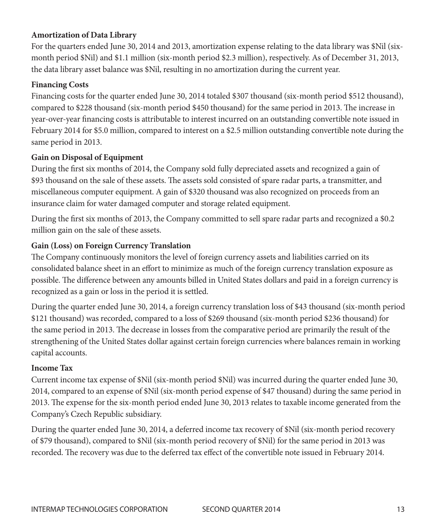#### **Amortization of Data Library**

For the quarters ended June 30, 2014 and 2013, amortization expense relating to the data library was \$Nil (sixmonth period \$Nil) and \$1.1 million (six-month period \$2.3 million), respectively. As of December 31, 2013, the data library asset balance was \$Nil, resulting in no amortization during the current year.

#### **Financing Costs**

Financing costs for the quarter ended June 30, 2014 totaled \$307 thousand (six-month period \$512 thousand), compared to \$228 thousand (six-month period \$450 thousand) for the same period in 2013. The increase in year-over-year financing costs is attributable to interest incurred on an outstanding convertible note issued in February 2014 for \$5.0 million, compared to interest on a \$2.5 million outstanding convertible note during the same period in 2013.

#### **Gain on Disposal of Equipment**

During the first six months of 2014, the Company sold fully depreciated assets and recognized a gain of \$93 thousand on the sale of these assets. The assets sold consisted of spare radar parts, a transmitter, and miscellaneous computer equipment. A gain of \$320 thousand was also recognized on proceeds from an insurance claim for water damaged computer and storage related equipment.

During the first six months of 2013, the Company committed to sell spare radar parts and recognized a \$0.2 million gain on the sale of these assets.

#### **Gain (Loss) on Foreign Currency Translation**

The Company continuously monitors the level of foreign currency assets and liabilities carried on its consolidated balance sheet in an effort to minimize as much of the foreign currency translation exposure as possible. The difference between any amounts billed in United States dollars and paid in a foreign currency is recognized as a gain or loss in the period it is settled.

During the quarter ended June 30, 2014, a foreign currency translation loss of \$43 thousand (six-month period \$121 thousand) was recorded, compared to a loss of \$269 thousand (six-month period \$236 thousand) for the same period in 2013. The decrease in losses from the comparative period are primarily the result of the strengthening of the United States dollar against certain foreign currencies where balances remain in working capital accounts.

#### **Income Tax**

Current income tax expense of \$Nil (six-month period \$Nil) was incurred during the quarter ended June 30, 2014, compared to an expense of \$Nil (six-month period expense of \$47 thousand) during the same period in 2013. The expense for the six-month period ended June 30, 2013 relates to taxable income generated from the Company's Czech Republic subsidiary.

During the quarter ended June 30, 2014, a deferred income tax recovery of \$Nil (six-month period recovery of \$79 thousand), compared to \$Nil (six-month period recovery of \$Nil) for the same period in 2013 was recorded. The recovery was due to the deferred tax effect of the convertible note issued in February 2014.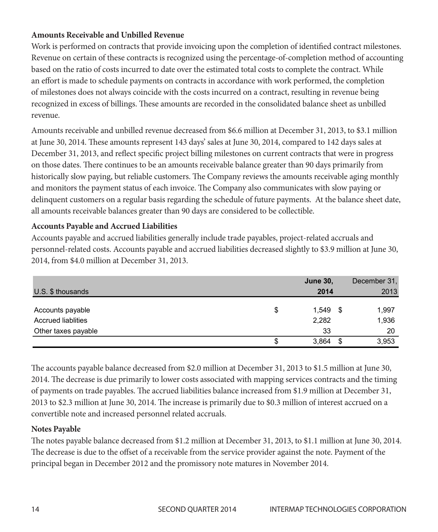#### **Amounts Receivable and Unbilled Revenue**  $A$ mounts  $A$ eceivable and Unbilled Kevenue

Work is performed on contracts that provide invoicing upon the completion of identified contract milestones. Revenue on certain of these contracts is recognized using the percentage-of-completion method of accounting Revenue on certain of these contracts is recognized using the percentage-of-completion method of accounting based on the ratio of costs incurred to date over the estimated total costs to complete the contract. While an effort is made to schedule payments on contracts in accordance with work performed, the completion of milestones does not always coincide with the costs incurred on a contract, resulting in revenue being of milestones does not always coincide with the costs incurred on a contract, resulting in revenue being recognized in excess of billings. These amounts are recorded in the consolidated balance sheet as unbilled revenue. to 142 days sales at December 31, 2013, and reflect specific project specific project specific project specific project specific project specific project billing milestones on current project billing milestones on current

Amounts receivable and unbilled revenue decreased from \$6.6 million at December 31, 2013, to \$3.1 million at June 30, 2014. These amounts represent 143 days' sales at June 30, 2014, compared to 142 days sales at December 31, 2013, and reflect specific project billing milestones on current contracts that were in progress on those dates. There continues to be an amounts receivable balance greater than 90 days primarily from In these takes. There commune to be an amount receivable calline greater than so take primarily from and monitors the payment status of each invoice. The Company also communicates with slow paying or delinquent customers on a regular basis regarding the schedule of future payments. At the balance sheet date, all amounts receivable balances greater than 90 days are considered to be collectible.

# **Accounts Payable and Accrued Liabilities Accounts Payable and Accrued Liabilities**

Accounts payable and accrued liabilities generally include trade payables, project-related accruals and Accounts payable and accrued liabilities generally include trade payables, project-related accruals personnel-related costs. Accounts payable and accrued liabilities decreased slightly to \$3.9 million at June 30, 2014, from \$4.0 million at December 31, 2013.

|                           |    | <b>June 30,</b> |    | December 31, |
|---------------------------|----|-----------------|----|--------------|
| U.S. \$ thousands         |    | 2014            |    | 2013         |
|                           |    |                 |    |              |
| Accounts payable          | \$ | 1,549           | -5 | 1,997        |
| <b>Accrued liablities</b> |    | 2,282           |    | 1,936        |
| Other taxes payable       |    | 33              |    | 20           |
|                           | S  | 3.864           |    | 3,953        |

The accounts payable balance decreased from \$2.0 million at December 31, 2013 to \$1.5 million at June 30, The accounts payable balance decreased from \$2.0 million at December 31, 2013 to \$1.5 million at 2014. The decrease is due primarily to lower costs associated with mapping services contracts and the timing of payments on trade payables. The accrued liabilities balance increased from \$1.9 million at December 31, 2013 to \$2.3 million at June 30, 2014. The increase is primarily due to \$0.3 million of interest accrued on a convertible note and increased personnel related accruals.

#### **Notes Payable**

The notes payable balance decreased from \$1.2 million at December 31, 2013, to \$1.1 million at June 30, 2014. The decrease is due to the offset of a receivable from the service provider against the note. Payment of the principal began in December 2012 and the promissory note matures in November 2014.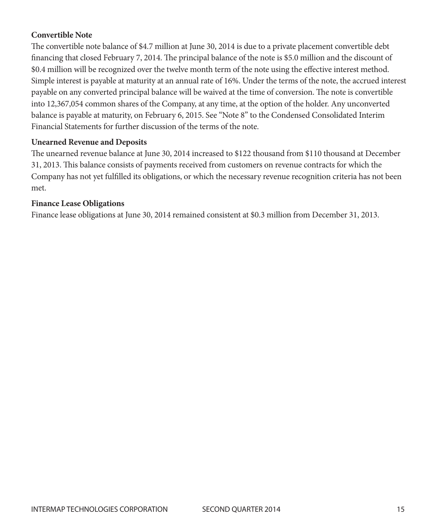#### **Convertible Note**

The convertible note balance of \$4.7 million at June 30, 2014 is due to a private placement convertible debt financing that closed February 7, 2014. The principal balance of the note is \$5.0 million and the discount of \$0.4 million will be recognized over the twelve month term of the note using the effective interest method. Simple interest is payable at maturity at an annual rate of 16%. Under the terms of the note, the accrued interest payable on any converted principal balance will be waived at the time of conversion. The note is convertible into 12,367,054 common shares of the Company, at any time, at the option of the holder. Any unconverted balance is payable at maturity, on February 6, 2015. See "Note 8" to the Condensed Consolidated Interim Financial Statements for further discussion of the terms of the note.

#### **Unearned Revenue and Deposits**

The unearned revenue balance at June 30, 2014 increased to \$122 thousand from \$110 thousand at December 31, 2013. This balance consists of payments received from customers on revenue contracts for which the Company has not yet fulfilled its obligations, or which the necessary revenue recognition criteria has not been met.

#### **Finance Lease Obligations**

Finance lease obligations at June 30, 2014 remained consistent at \$0.3 million from December 31, 2013.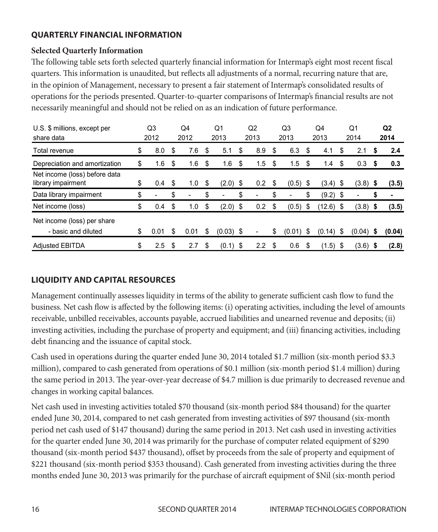#### **QUARTERLY FINANCIAL INFORMATION**

#### **Selected Quarterly Information**

The following table sets forth selected quarterly financial information for Intermap's eight most recent fiscal quarters. This information is unaudited, but reflects all adjustments of a normal, recurring nature that are, in the opinion of Management, necessary to present a fair statement of Intermap's consolidated results of operations for the periods presented. Quarter-to-quarter comparisons of Intermap's financial results are not necessarily meaningful and should not be relied on as an indication of future performance.

| U.S. \$ millions, except per                        | Q3        |    | Q <sub>4</sub> |    | Q1          |    | Q2               | Q3           | Q4  |            | Q1   |             |      | Q <sub>2</sub> |
|-----------------------------------------------------|-----------|----|----------------|----|-------------|----|------------------|--------------|-----|------------|------|-------------|------|----------------|
| share data                                          | 2012      |    | 2012           |    | 2013        |    | 2013             | 2013         |     | 2013       |      | 2014        |      | 2014           |
| Total revenue                                       | \$<br>8.0 | \$ | 7.6            | \$ | 5.1         | \$ | 8.9              | \$<br>6.3    | S   | 4.1        | \$   | 2.1         | S    | 2.4            |
| Depreciation and amortization                       | \$<br>1.6 | \$ | 1.6            | \$ | 1.6         | \$ | 1.5              | \$<br>1.5    | \$  | 1.4        | \$   | 0.3         | - \$ | 0.3            |
| Net income (loss) before data<br>library impairment | \$<br>0.4 | \$ | 1.0            | \$ | $(2.0)$ \$  |    | 0.2              | \$<br>(0.5)  | -\$ | (3.4)      | -\$  | $(3.8)$ \$  |      | (3.5)          |
| Data library impairment                             | \$        | \$ |                | \$ |             | \$ |                  | \$           |     | $(9.2)$ \$ |      |             | S    |                |
| Net income (loss)                                   | \$<br>0.4 | \$ | 1.0            | \$ | $(2.0)$ \$  |    | 0.2              | \$<br>(0.5)  | \$  | (12.6)     | - \$ | $(3.8)$ \$  |      | (3.5)          |
| Net income (loss) per share<br>- basic and diluted  | 0.01      | S  | 0.01           | \$ | $(0.03)$ \$ |    |                  | \$<br>(0.01) | S   | (0.14)     | S    | $(0.04)$ \$ |      | (0.04)         |
| <b>Adjusted EBITDA</b>                              | \$<br>2.5 | \$ | 2.7            | S  | (0.1)       | S  | $2.2\phantom{0}$ | \$<br>0.6    |     | (1.5)      | \$   | $(3.6)$ \$  |      | (2.8)          |

# **LIQUIDITY AND CAPITAL RESOURCES LIQUIDITY AND CAPITAL RESOURCES**

Management continually assesses liquidity in terms of the ability to generate sufficient cash flow to fund the Management continually assesses liquidity in terms of the ability to generate sufficient cash flow to business. Net cash flow is affected by the following items: (i) operating activities, including the level of amounts receivable, unbilled receivables, accounts payable, accrued liabilities and unearned revenue and deposits; (ii)<br>. investing activities, including the purchase of property and equipment; and (iii) financing activities, including debt financing and the issuance of capital stock.

Cash used in operations during the quarter ended June 30, 2014 totaled \$1.7 million (six-month period \$3.3 million), compared to cash generated from operations of \$0.1 million (six-month period \$1.4 million) during the same period in 2013. The year-over-year decrease of \$4.7 million is due primarily to decreased revenue and  $\frac{1}{2}$ changes in working capital balances.

Net cash used in investing activities totaled \$70 thousand (six-month period \$84 thousand) for the quarter ended June 30, 2014, compared to net cash generated from investing activities of \$97 thousand (six-month period net cash used of \$147 thousand) during the same period in 2013. Net cash used in investing activities for the quarter ended June 30, 2014 was primarily for the purchase of computer related equipment of \$290 thousand (six-month period \$437 thousand), offset by proceeds from the sale of property and equipment of thousand (six-month period \$437 thousand), offset by proceeds from the sale of property and equipment of \$221 thousand (six-month period \$353 thousand). Cash generated from investing activities during the three months ended June 30, 2013 was primarily for the purchase of aircraft equipment of \$Nil (six-month period period \$1.4 million) during the same period in 2013. The year-over-year decrease of \$4.7 million is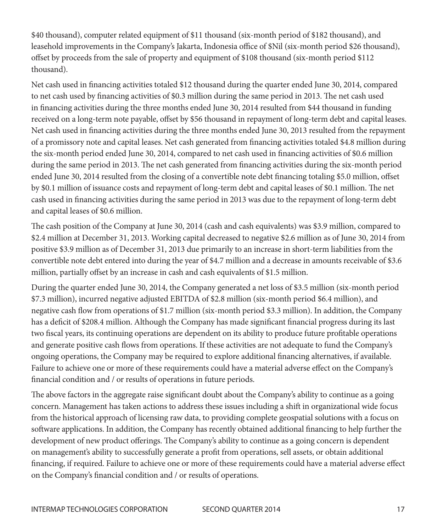\$40 thousand), computer related equipment of \$11 thousand (six-month period of \$182 thousand), and leasehold improvements in the Company's Jakarta, Indonesia office of \$Nil (six-month period \$26 thousand), offset by proceeds from the sale of property and equipment of \$108 thousand (six-month period \$112 thousand).

Net cash used in financing activities totaled \$12 thousand during the quarter ended June 30, 2014, compared to net cash used by financing activities of \$0.3 million during the same period in 2013. The net cash used in financing activities during the three months ended June 30, 2014 resulted from \$44 thousand in funding received on a long-term note payable, offset by \$56 thousand in repayment of long-term debt and capital leases. Net cash used in financing activities during the three months ended June 30, 2013 resulted from the repayment of a promissory note and capital leases. Net cash generated from financing activities totaled \$4.8 million during the six-month period ended June 30, 2014, compared to net cash used in financing activities of \$0.6 million during the same period in 2013. The net cash generated from financing activities during the six-month period ended June 30, 2014 resulted from the closing of a convertible note debt financing totaling \$5.0 million, offset by \$0.1 million of issuance costs and repayment of long-term debt and capital leases of \$0.1 million. The net cash used in financing activities during the same period in 2013 was due to the repayment of long-term debt and capital leases of \$0.6 million.

The cash position of the Company at June 30, 2014 (cash and cash equivalents) was \$3.9 million, compared to \$2.4 million at December 31, 2013. Working capital decreased to negative \$2.6 million as of June 30, 2014 from positive \$3.9 million as of December 31, 2013 due primarily to an increase in short-term liabilities from the convertible note debt entered into during the year of \$4.7 million and a decrease in amounts receivable of \$3.6 million, partially offset by an increase in cash and cash equivalents of \$1.5 million.

During the quarter ended June 30, 2014, the Company generated a net loss of \$3.5 million (six-month period \$7.3 million), incurred negative adjusted EBITDA of \$2.8 million (six-month period \$6.4 million), and negative cash flow from operations of \$1.7 million (six-month period \$3.3 million). In addition, the Company has a deficit of \$208.4 million. Although the Company has made significant financial progress during its last two fiscal years, its continuing operations are dependent on its ability to produce future profitable operations and generate positive cash flows from operations. If these activities are not adequate to fund the Company's ongoing operations, the Company may be required to explore additional financing alternatives, if available. Failure to achieve one or more of these requirements could have a material adverse effect on the Company's financial condition and / or results of operations in future periods.

The above factors in the aggregate raise significant doubt about the Company's ability to continue as a going concern. Management has taken actions to address these issues including a shift in organizational wide focus from the historical approach of licensing raw data, to providing complete geospatial solutions with a focus on software applications. In addition, the Company has recently obtained additional financing to help further the development of new product offerings. The Company's ability to continue as a going concern is dependent on management's ability to successfully generate a profit from operations, sell assets, or obtain additional financing, if required. Failure to achieve one or more of these requirements could have a material adverse effect on the Company's financial condition and / or results of operations.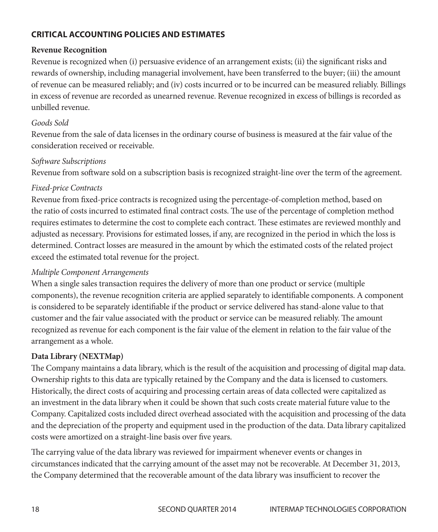#### **CRITICAL ACCOUNTING POLICIES AND ESTIMATES**

#### **Revenue Recognition**

Revenue is recognized when (i) persuasive evidence of an arrangement exists; (ii) the significant risks and rewards of ownership, including managerial involvement, have been transferred to the buyer; (iii) the amount of revenue can be measured reliably; and (iv) costs incurred or to be incurred can be measured reliably. Billings in excess of revenue are recorded as unearned revenue. Revenue recognized in excess of billings is recorded as unbilled revenue.

#### *Goods Sold*

Revenue from the sale of data licenses in the ordinary course of business is measured at the fair value of the consideration received or receivable.

#### *Software Subscriptions*

Revenue from software sold on a subscription basis is recognized straight-line over the term of the agreement.

#### *Fixed-price Contracts*

Revenue from fixed-price contracts is recognized using the percentage-of-completion method, based on the ratio of costs incurred to estimated final contract costs. The use of the percentage of completion method requires estimates to determine the cost to complete each contract. These estimates are reviewed monthly and adjusted as necessary. Provisions for estimated losses, if any, are recognized in the period in which the loss is determined. Contract losses are measured in the amount by which the estimated costs of the related project exceed the estimated total revenue for the project.

#### *Multiple Component Arrangements*

When a single sales transaction requires the delivery of more than one product or service (multiple components), the revenue recognition criteria are applied separately to identifiable components. A component is considered to be separately identifiable if the product or service delivered has stand-alone value to that customer and the fair value associated with the product or service can be measured reliably. The amount recognized as revenue for each component is the fair value of the element in relation to the fair value of the arrangement as a whole.

#### **Data Library (NEXTMap)**

The Company maintains a data library, which is the result of the acquisition and processing of digital map data. Ownership rights to this data are typically retained by the Company and the data is licensed to customers. Historically, the direct costs of acquiring and processing certain areas of data collected were capitalized as an investment in the data library when it could be shown that such costs create material future value to the Company. Capitalized costs included direct overhead associated with the acquisition and processing of the data and the depreciation of the property and equipment used in the production of the data. Data library capitalized costs were amortized on a straight-line basis over five years.

The carrying value of the data library was reviewed for impairment whenever events or changes in circumstances indicated that the carrying amount of the asset may not be recoverable. At December 31, 2013, the Company determined that the recoverable amount of the data library was insufficient to recover the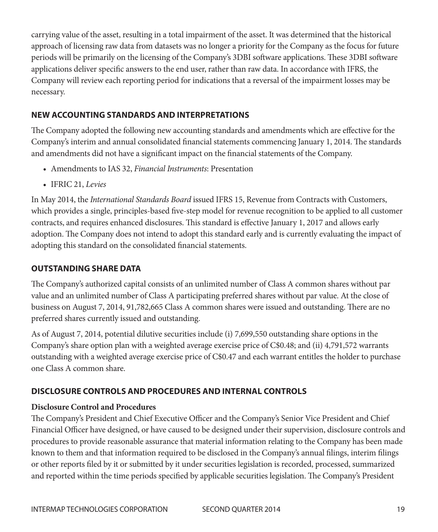carrying value of the asset, resulting in a total impairment of the asset. It was determined that the historical approach of licensing raw data from datasets was no longer a priority for the Company as the focus for future periods will be primarily on the licensing of the Company's 3DBI software applications. These 3DBI software applications deliver specific answers to the end user, rather than raw data. In accordance with IFRS, the Company will review each reporting period for indications that a reversal of the impairment losses may be necessary.

#### **NEW ACCOUNTING STANDARDS AND INTERPRETATIONS**

The Company adopted the following new accounting standards and amendments which are effective for the Company's interim and annual consolidated financial statements commencing January 1, 2014. The standards and amendments did not have a significant impact on the financial statements of the Company.

- Amendments to IAS 32, *Financial Instruments*: Presentation
- IFRIC 21, *Levies*

In May 2014, the *International Standards Board* issued IFRS 15, Revenue from Contracts with Customers, which provides a single, principles-based five-step model for revenue recognition to be applied to all customer contracts, and requires enhanced disclosures. This standard is effective January 1, 2017 and allows early adoption. The Company does not intend to adopt this standard early and is currently evaluating the impact of adopting this standard on the consolidated financial statements.

#### **OUTSTANDING SHARE DATA**

The Company's authorized capital consists of an unlimited number of Class A common shares without par value and an unlimited number of Class A participating preferred shares without par value. At the close of business on August 7, 2014, 91,782,665 Class A common shares were issued and outstanding. There are no preferred shares currently issued and outstanding.

As of August 7, 2014, potential dilutive securities include (i) 7,699,550 outstanding share options in the Company's share option plan with a weighted average exercise price of C\$0.48; and (ii) 4,791,572 warrants outstanding with a weighted average exercise price of C\$0.47 and each warrant entitles the holder to purchase one Class A common share.

#### **DISCLOSURE CONTROLS AND PROCEDURES AND INTERNAL CONTROLS**

#### **Disclosure Control and Procedures**

The Company's President and Chief Executive Officer and the Company's Senior Vice President and Chief Financial Officer have designed, or have caused to be designed under their supervision, disclosure controls and procedures to provide reasonable assurance that material information relating to the Company has been made known to them and that information required to be disclosed in the Company's annual filings, interim filings or other reports filed by it or submitted by it under securities legislation is recorded, processed, summarized and reported within the time periods specified by applicable securities legislation. The Company's President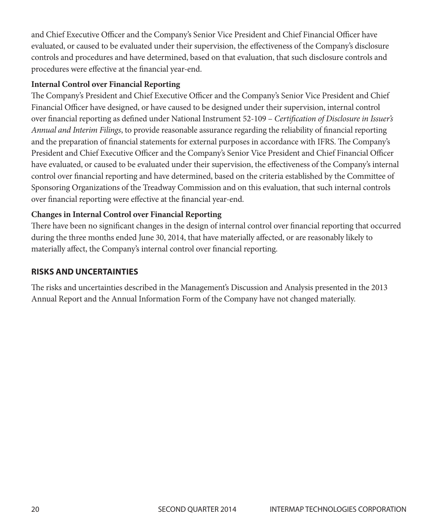and Chief Executive Officer and the Company's Senior Vice President and Chief Financial Officer have evaluated, or caused to be evaluated under their supervision, the effectiveness of the Company's disclosure controls and procedures and have determined, based on that evaluation, that such disclosure controls and procedures were effective at the financial year-end.

#### **Internal Control over Financial Reporting**

The Company's President and Chief Executive Officer and the Company's Senior Vice President and Chief Financial Officer have designed, or have caused to be designed under their supervision, internal control over financial reporting as defined under National Instrument 52-109 – *Certification of Disclosure in Issuer's Annual and Interim Filings*, to provide reasonable assurance regarding the reliability of financial reporting and the preparation of financial statements for external purposes in accordance with IFRS. The Company's President and Chief Executive Officer and the Company's Senior Vice President and Chief Financial Officer have evaluated, or caused to be evaluated under their supervision, the effectiveness of the Company's internal control over financial reporting and have determined, based on the criteria established by the Committee of Sponsoring Organizations of the Treadway Commission and on this evaluation, that such internal controls over financial reporting were effective at the financial year-end.

#### **Changes in Internal Control over Financial Reporting**

There have been no significant changes in the design of internal control over financial reporting that occurred during the three months ended June 30, 2014, that have materially affected, or are reasonably likely to materially affect, the Company's internal control over financial reporting.

#### **RISKS AND UNCERTAINTIES**

The risks and uncertainties described in the Management's Discussion and Analysis presented in the 2013 Annual Report and the Annual Information Form of the Company have not changed materially.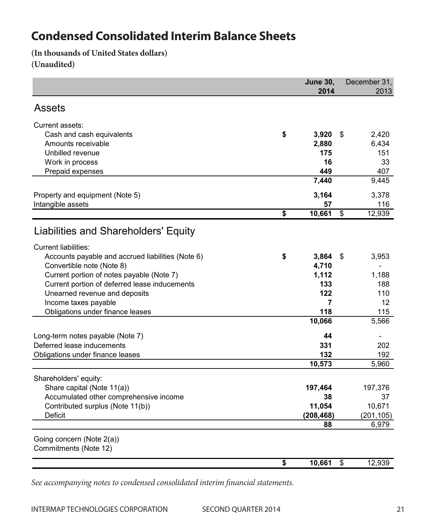### **Condensed Consolidated Interim Balance Sheets** Condensed Consolidated Interim Balance Sheets

**(In thousands of United States dollars)** (In thousands of United States dollars) **(Unaudited)** (Unaudited)

|                                                   | <b>June 30,</b> |    | December 31.   |
|---------------------------------------------------|-----------------|----|----------------|
|                                                   | 2014            |    | 2013           |
| <b>Assets</b>                                     |                 |    |                |
| Current assets:                                   |                 |    |                |
| Cash and cash equivalents                         | \$<br>3,920     | \$ | 2,420          |
| Amounts receivable                                | 2,880           |    | 6,434          |
| Unbilled revenue                                  | 175             |    | 151            |
| Work in process                                   | 16              |    | 33             |
| Prepaid expenses                                  | 449             |    | 407            |
|                                                   | 7,440           |    | 9,445          |
| Property and equipment (Note 5)                   | 3,164           |    | 3,378          |
| Intangible assets                                 | 57              |    | 116            |
|                                                   | \$<br>10,661    | \$ | 12,939         |
| Liabilities and Shareholders' Equity              |                 |    |                |
|                                                   |                 |    |                |
| <b>Current liabilities:</b>                       |                 |    |                |
| Accounts payable and accrued liabilities (Note 6) | \$<br>3,864     | S  | 3,953          |
| Convertible note (Note 8)                         | 4,710           |    | $\blacksquare$ |
| Current portion of notes payable (Note 7)         | 1,112           |    | 1,188          |
| Current portion of deferred lease inducements     | 133             |    | 188            |
| Unearned revenue and deposits                     | 122             |    | 110            |
| Income taxes payable                              | 7               |    | 12             |
| Obligations under finance leases                  | 118             |    | 115            |
|                                                   | 10,066          |    | 5,566          |
| Long-term notes payable (Note 7)                  | 44              |    |                |
| Deferred lease inducements                        | 331             |    | 202            |
| Obligations under finance leases                  | 132             |    | 192            |
|                                                   | 10,573          |    | 5,960          |
| Shareholders' equity:                             |                 |    |                |
| Share capital (Note 11(a))                        | 197,464         |    | 197,376        |
| Accumulated other comprehensive income            | 38              |    | 37             |
| Contributed surplus (Note 11(b))                  | 11,054          |    | 10,671         |
| Deficit                                           | (208, 468)      |    | (201, 105)     |
|                                                   | 88              |    | 6,979          |
| Going concern (Note 2(a))                         |                 |    |                |
| Commitments (Note 12)                             |                 |    |                |
|                                                   | \$<br>10,661    | \$ | 12,939         |

*See accompanying notes to condensed consolidated interim financial statements.*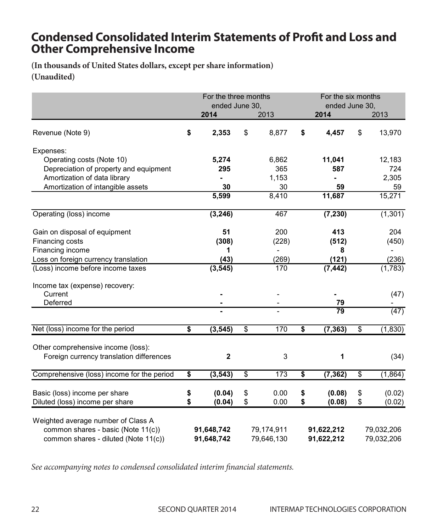## **Condensed Consolidated Interim Statements of Profit and Loss and Other Comprehensive Income** and Loss and Loss and Other Comprehensive Income

**(In thousands of United States dollars, except per share information)** (In thousands of United States dollars, except per share information) **(Unaudited)** (In thousand

|                                                                                | For the three months |                 |                          | For the six months |            | 2013<br>13,970<br>12,183 |  |  |  |  |
|--------------------------------------------------------------------------------|----------------------|-----------------|--------------------------|--------------------|------------|--------------------------|--|--|--|--|
|                                                                                | ended June 30,       |                 |                          | ended June 30.     |            |                          |  |  |  |  |
|                                                                                | 2014                 |                 | 2013                     | 2014               |            |                          |  |  |  |  |
| Revenue (Note 9)                                                               | \$<br>2,353          | \$              | 8,877                    | \$<br>4,457        | \$         |                          |  |  |  |  |
| Expenses:                                                                      |                      |                 |                          |                    |            |                          |  |  |  |  |
| Operating costs (Note 10)                                                      | 5,274                |                 | 6,862                    | 11,041             |            |                          |  |  |  |  |
| Depreciation of property and equipment                                         | 295                  |                 | 365                      | 587                |            | 724                      |  |  |  |  |
| Amortization of data library                                                   |                      |                 | 1,153                    | ×.                 |            | 2,305                    |  |  |  |  |
| Amortization of intangible assets                                              | 30                   |                 | 30                       | 59                 |            | 59                       |  |  |  |  |
|                                                                                | 5,599                |                 | 8,410                    | 11,687             |            | 15,271                   |  |  |  |  |
| Operating (loss) income                                                        | (3, 246)             |                 | 467                      | (7, 230)           |            | (1, 301)                 |  |  |  |  |
| Gain on disposal of equipment                                                  | 51                   |                 | 200                      | 413                |            | 204                      |  |  |  |  |
| Financing costs                                                                | (308)                |                 | (228)                    | (512)              |            | (450)                    |  |  |  |  |
| Financing income                                                               | 1                    |                 | $\overline{\phantom{0}}$ | 8                  |            |                          |  |  |  |  |
| Loss on foreign currency translation                                           | (43)                 |                 | (269)                    | (121)              |            | (236)                    |  |  |  |  |
| (Loss) income before income taxes                                              | (3, 545)             |                 | 170                      | (7, 442)           |            | (1,783)                  |  |  |  |  |
| Income tax (expense) recovery:                                                 |                      |                 |                          |                    |            |                          |  |  |  |  |
| Current                                                                        |                      |                 |                          |                    |            | (47)                     |  |  |  |  |
| Deferred                                                                       |                      |                 |                          | 79                 |            |                          |  |  |  |  |
|                                                                                |                      |                 |                          | 79                 |            | $\overline{(47)}$        |  |  |  |  |
| Net (loss) income for the period                                               | \$<br>(3, 545)       | \$              | 170                      | \$<br>(7, 363)     | \$         | (1, 830)                 |  |  |  |  |
|                                                                                |                      |                 |                          |                    |            |                          |  |  |  |  |
| Other comprehensive income (loss):<br>Foreign currency translation differences | $\overline{2}$       |                 | 3                        | 1                  |            | (34)                     |  |  |  |  |
|                                                                                |                      |                 |                          |                    |            |                          |  |  |  |  |
| Comprehensive (loss) income for the period                                     | \$<br>(3, 543)       | $\overline{\$}$ | 173                      | \$<br>(7, 362)     | \$         | (1,864)                  |  |  |  |  |
| Basic (loss) income per share                                                  | \$<br>(0.04)         | \$              | 0.00                     | \$<br>(0.08)       | \$         | (0.02)                   |  |  |  |  |
| Diluted (loss) income per share                                                | \$<br>(0.04)         | \$              | 0.00                     | \$<br>(0.08)       | \$         | (0.02)                   |  |  |  |  |
| Weighted average number of Class A                                             |                      |                 |                          |                    |            |                          |  |  |  |  |
| common shares - basic (Note 11(c))                                             | 91,648,742           |                 | 79,174,911               | 91,622,212         |            | 79,032,206               |  |  |  |  |
| common shares - diluted (Note 11(c))                                           | 91,648,742           |                 | 79,646,130               | 91,622,212         | 79,032,206 |                          |  |  |  |  |

*See accompanying notes to condensed consolidated interim financial statements.*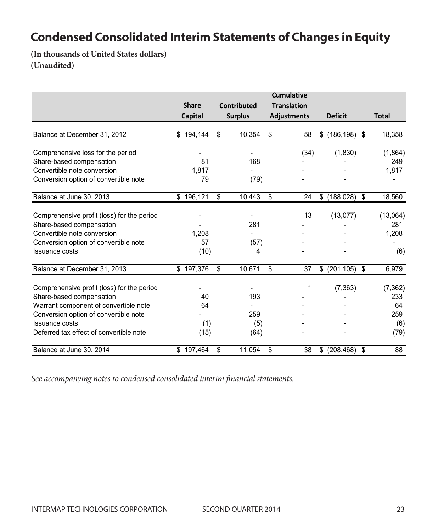# Condensed Consolidated Interim Statements of Changes in Equity<br>(Internal of Estated III a)

(In thousands of United States dollars) (Unaudited)

|                                            | <b>Share</b><br>Capital | <b>Total</b> |                |                    |      |                       |          |
|--------------------------------------------|-------------------------|--------------|----------------|--------------------|------|-----------------------|----------|
|                                            |                         |              | <b>Surplus</b> | <b>Adjustments</b> |      | <b>Deficit</b>        |          |
| Balance at December 31, 2012               | 194,144<br>S            | S            | 10,354         | \$                 | 58   | \$<br>$(186, 198)$ \$ | 18,358   |
| Comprehensive loss for the period          |                         |              |                |                    | (34) | (1,830)               | (1,864)  |
| Share-based compensation                   | 81                      |              | 168            |                    |      |                       | 249      |
| Convertible note conversion                | 1,817                   |              |                |                    |      |                       | 1,817    |
| Conversion option of convertible note      | 79                      |              | (79)           |                    |      |                       |          |
| Balance at June 30, 2013                   | \$196,121               | \$           | 10,443         | \$                 | 24   | $(188,028)$ \$<br>\$  | 18,560   |
| Comprehensive profit (loss) for the period |                         |              |                |                    | 13   | (13,077)              | (13,064) |
| Share-based compensation                   |                         |              | 281            |                    |      |                       | 281      |
| Convertible note conversion                | 1,208                   |              |                |                    |      |                       | 1,208    |
| Conversion option of convertible note      | 57                      |              | (57)           |                    |      |                       |          |
| <b>Issuance costs</b>                      | (10)                    |              | 4              |                    |      |                       | (6)      |
| Balance at December 31, 2013               | \$197,376               | \$           | 10,671         | \$                 | 37   | $(201, 105)$ \$<br>\$ | 6,979    |
| Comprehensive profit (loss) for the period |                         |              |                |                    | 1    | (7, 363)              | (7, 362) |
| Share-based compensation                   | 40                      |              | 193            |                    |      |                       | 233      |
| Warrant component of convertible note      | 64                      |              |                |                    |      |                       | 64       |
| Conversion option of convertible note      |                         |              | 259            |                    |      |                       | 259      |
| Issuance costs                             | (1)                     |              | (5)            |                    |      |                       | (6)      |
| Deferred tax effect of convertible note    | (15)                    |              | (64)           |                    |      |                       | (79)     |
| Balance at June 30, 2014                   | \$197,464               | \$           | 11,054         | \$                 | 38   | $(208, 468)$ \$<br>\$ | 88       |

*See accompanying notes to condensed consolidated interim financial statements. See accompanying notes to condensed consolidated interim financial statements.*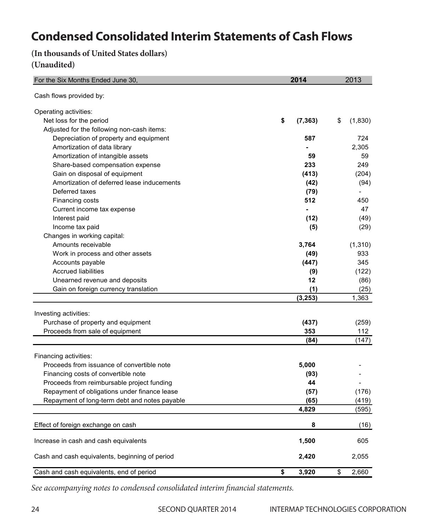# **Condensed Consolidated Interim Statements of Cash Flows**

**(In thousands of United States dollars)**

#### **(Unaudited)**

| For the Six Months Ended June 30,              | 2014           | 2013          |
|------------------------------------------------|----------------|---------------|
| Cash flows provided by:                        |                |               |
| Operating activities:                          |                |               |
| Net loss for the period                        | \$<br>(7, 363) | \$<br>(1,830) |
| Adjusted for the following non-cash items:     |                |               |
| Depreciation of property and equipment         | 587            | 724           |
| Amortization of data library                   |                | 2,305         |
| Amortization of intangible assets              | 59             | 59            |
| Share-based compensation expense               | 233            | 249           |
| Gain on disposal of equipment                  | (413)          | (204)         |
| Amortization of deferred lease inducements     | (42)           | (94)          |
| Deferred taxes                                 | (79)           |               |
| Financing costs                                | 512            | 450           |
| Current income tax expense                     |                | 47            |
| Interest paid                                  | (12)           | (49)          |
| Income tax paid                                | (5)            | (29)          |
| Changes in working capital:                    |                |               |
| Amounts receivable                             | 3,764          | (1, 310)      |
| Work in process and other assets               | (49)           | 933           |
| Accounts payable                               | (447)          | 345           |
| <b>Accrued liabilities</b>                     | (9)            | (122)         |
| Unearned revenue and deposits                  | 12             | (86)          |
| Gain on foreign currency translation           | (1)            | (25)          |
|                                                | (3, 253)       | 1,363         |
|                                                |                |               |
| Investing activities:                          |                |               |
| Purchase of property and equipment             | (437)          | (259)         |
| Proceeds from sale of equipment                | 353            | 112           |
|                                                | (84)           | (147)         |
| Financing activities:                          |                |               |
| Proceeds from issuance of convertible note     | 5,000          |               |
| Financing costs of convertible note            | (93)           |               |
| Proceeds from reimbursable project funding     | 44             |               |
| Repayment of obligations under finance lease   | (57)           | (176)         |
| Repayment of long-term debt and notes payable  | (65)           | (419)         |
|                                                | 4,829          | (595)         |
| Effect of foreign exchange on cash             | 8              | (16)          |
| Increase in cash and cash equivalents          | 1,500          | 605           |
| Cash and cash equivalents, beginning of period | 2,420          | 2,055         |
| Cash and cash equivalents, end of period       | \$<br>3.920    | \$<br>2.660   |

*See accompanying notes to condensed consolidated interim financial statements.*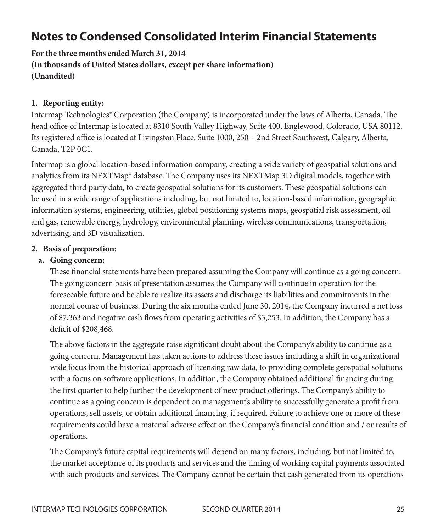# **Notes to Condensed Consolidated Interim Financial Statements**

**For the three months ended March 31, 2014 (In thousands of United States dollars, except per share information) (Unaudited)**

#### **1. Reporting entity:**

Intermap Technologies® Corporation (the Company) is incorporated under the laws of Alberta, Canada. The head office of Intermap is located at 8310 South Valley Highway, Suite 400, Englewood, Colorado, USA 80112. Its registered office is located at Livingston Place, Suite 1000, 250 – 2nd Street Southwest, Calgary, Alberta, Canada, T2P 0C1.

Intermap is a global location-based information company, creating a wide variety of geospatial solutions and analytics from its NEXTMap® database. The Company uses its NEXTMap 3D digital models, together with aggregated third party data, to create geospatial solutions for its customers. These geospatial solutions can be used in a wide range of applications including, but not limited to, location-based information, geographic information systems, engineering, utilities, global positioning systems maps, geospatial risk assessment, oil and gas, renewable energy, hydrology, environmental planning, wireless communications, transportation, advertising, and 3D visualization.

#### **2. Basis of preparation:**

#### **a. Going concern:**

These financial statements have been prepared assuming the Company will continue as a going concern. The going concern basis of presentation assumes the Company will continue in operation for the foreseeable future and be able to realize its assets and discharge its liabilities and commitments in the normal course of business. During the six months ended June 30, 2014, the Company incurred a net loss of \$7,363 and negative cash flows from operating activities of \$3,253. In addition, the Company has a deficit of \$208,468.

The above factors in the aggregate raise significant doubt about the Company's ability to continue as a going concern. Management has taken actions to address these issues including a shift in organizational wide focus from the historical approach of licensing raw data, to providing complete geospatial solutions with a focus on software applications. In addition, the Company obtained additional financing during the first quarter to help further the development of new product offerings. The Company's ability to continue as a going concern is dependent on management's ability to successfully generate a profit from operations, sell assets, or obtain additional financing, if required. Failure to achieve one or more of these requirements could have a material adverse effect on the Company's financial condition and / or results of operations.

The Company's future capital requirements will depend on many factors, including, but not limited to, the market acceptance of its products and services and the timing of working capital payments associated with such products and services. The Company cannot be certain that cash generated from its operations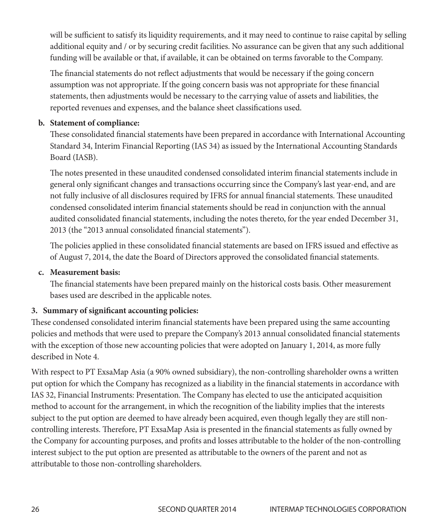will be sufficient to satisfy its liquidity requirements, and it may need to continue to raise capital by selling additional equity and / or by securing credit facilities. No assurance can be given that any such additional funding will be available or that, if available, it can be obtained on terms favorable to the Company.

The financial statements do not reflect adjustments that would be necessary if the going concern assumption was not appropriate. If the going concern basis was not appropriate for these financial statements, then adjustments would be necessary to the carrying value of assets and liabilities, the reported revenues and expenses, and the balance sheet classifications used.

#### **b. Statement of compliance:**

These consolidated financial statements have been prepared in accordance with International Accounting Standard 34, Interim Financial Reporting (IAS 34) as issued by the International Accounting Standards Board (IASB).

The notes presented in these unaudited condensed consolidated interim financial statements include in general only significant changes and transactions occurring since the Company's last year-end, and are not fully inclusive of all disclosures required by IFRS for annual financial statements. These unaudited condensed consolidated interim financial statements should be read in conjunction with the annual audited consolidated financial statements, including the notes thereto, for the year ended December 31, 2013 (the "2013 annual consolidated financial statements").

The policies applied in these consolidated financial statements are based on IFRS issued and effective as of August 7, 2014, the date the Board of Directors approved the consolidated financial statements.

#### **c. Measurement basis:**

The financial statements have been prepared mainly on the historical costs basis. Other measurement bases used are described in the applicable notes.

#### **3. Summary of significant accounting policies:**

These condensed consolidated interim financial statements have been prepared using the same accounting policies and methods that were used to prepare the Company's 2013 annual consolidated financial statements with the exception of those new accounting policies that were adopted on January 1, 2014, as more fully described in Note 4.

With respect to PT ExsaMap Asia (a 90% owned subsidiary), the non-controlling shareholder owns a written put option for which the Company has recognized as a liability in the financial statements in accordance with IAS 32, Financial Instruments: Presentation. The Company has elected to use the anticipated acquisition method to account for the arrangement, in which the recognition of the liability implies that the interests subject to the put option are deemed to have already been acquired, even though legally they are still noncontrolling interests. Therefore, PT ExsaMap Asia is presented in the financial statements as fully owned by the Company for accounting purposes, and profits and losses attributable to the holder of the non-controlling interest subject to the put option are presented as attributable to the owners of the parent and not as attributable to those non-controlling shareholders.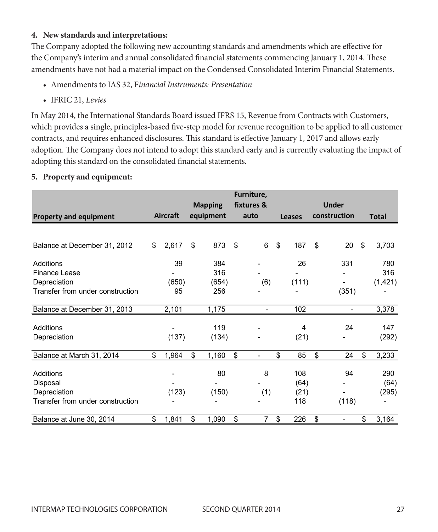#### **4. New standards and interpretations:**

The Company adopted the following new accounting standards and amendments which are effective for the Company's interim and annual consolidated financial statements commencing January 1, 2014. These amendments have not had a material impact on the Condensed Consolidated Interim Financial Statements.

- Amendments to IAS 32, F*inancial Instruments: Presentation*
- IFRIC 21, *Levies*

In May 2014, the International Standards Board issued IFRS 15, Revenue from Contracts with Customers, m may 2011, the international otandards board issued in RS 15, revenue riom contracts with customers, which provides a single, principles-based five-step model for revenue recognition to be applied to all customer contracts, and requires enhanced disclosures. This standard is effective January 1, 2017 and allows early adoption. The Company does not intend to adopt this standard early and is currently evaluating the impact of adopting this standard on the consolidated financial statements. which provides a single, principles-based live-step model for revenue

#### **5. Property and equipment: 5. Property and equipment:**

|                                  |                 |                |           |    | Furniture,     |                |              |                              |    |              |
|----------------------------------|-----------------|----------------|-----------|----|----------------|----------------|--------------|------------------------------|----|--------------|
|                                  |                 | <b>Mapping</b> |           |    | fixtures &     |                |              | <b>Under</b>                 |    |              |
| <b>Property and equipment</b>    | <b>Aircraft</b> |                | equipment |    | auto           | Leases         | construction |                              |    | <b>Total</b> |
|                                  |                 |                |           |    |                |                |              |                              |    |              |
| Balance at December 31, 2012     | \$<br>2,617     | \$             | 873       | \$ | 6              | \$<br>187      | \$           | 20                           | \$ | 3,703        |
| Additions                        | 39              |                | 384       |    |                | 26             |              | 331                          |    | 780          |
| Finance Lease                    |                 |                | 316       |    |                |                |              |                              |    | 316          |
| Depreciation                     | (650)           |                | (654)     |    | (6)            | (111)          |              |                              |    | (1, 421)     |
| Transfer from under construction | 95              |                | 256       |    |                |                |              | (351)                        |    |              |
| Balance at December 31, 2013     | 2,101           |                | 1,175     |    | $\blacksquare$ | 102            |              | $\overline{\phantom{a}}$     |    | 3,378        |
| Additions                        |                 |                | 119       |    |                | $\overline{4}$ |              | 24                           |    | 147          |
| Depreciation                     | (137)           |                | (134)     |    |                | (21)           |              |                              |    | (292)        |
| Balance at March 31, 2014        | \$<br>1,964     | \$             | 1,160     | \$ |                | \$<br>85       | \$           | 24                           | \$ | 3,233        |
| Additions                        |                 |                | 80        |    | 8              | 108            |              | 94                           |    | 290          |
| Disposal                         |                 |                |           |    |                | (64)           |              |                              |    | (64)         |
| Depreciation                     | (123)           |                | (150)     |    | (1)            | (21)           |              |                              |    | (295)        |
| Transfer from under construction |                 |                |           |    |                | 118            |              | (118)                        |    |              |
| Balance at June 30, 2014         | \$<br>1,841     | \$             | 1,090     | \$ | 7              | \$<br>226      | \$           | $\qquad \qquad \blacksquare$ | \$ | 3,164        |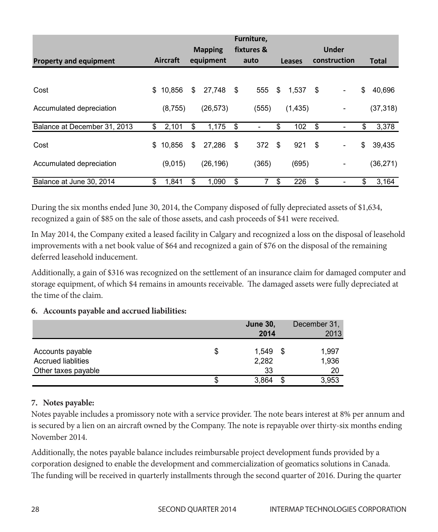|                               |              | <b>Mapping</b> |      | Furniture,<br>fixtures & |               |            |              | Under                        |              |
|-------------------------------|--------------|----------------|------|--------------------------|---------------|------------|--------------|------------------------------|--------------|
| <b>Property and equipment</b> | Aircraft     | equipment      |      | auto                     | <b>Leases</b> |            | construction |                              | <b>Total</b> |
| Cost                          | \$<br>10.856 | \$<br>27.748   | - \$ | 555                      | \$            | $1.537$ \$ |              | ۰                            | \$<br>40.696 |
| Accumulated depreciation      | (8,755)      | (26, 573)      |      | (555)                    |               | (1, 435)   |              | ۰                            | (37, 318)    |
| Balance at December 31, 2013  | \$<br>2,101  | \$<br>1,175    | \$   |                          | \$            | 102        | S.           |                              | \$<br>3,378  |
| Cost                          | \$<br>10.856 | \$<br>27.286   | \$   | 372                      | -\$           | 921        | -\$          |                              | \$<br>39,435 |
| Accumulated depreciation      | (9,015)      | (26, 196)      |      | (365)                    |               | (695)      |              | $\qquad \qquad \blacksquare$ | (36, 271)    |
| Balance at June 30, 2014      | \$<br>1,841  | \$<br>1,090    | \$   |                          | \$            | 226        | \$           |                              | \$<br>3,164  |

During the six months ended June 30, 2014, the Company disposed of fully depreciated assets of \$1,634, but ing the statements entered june 50, 2011, the Company disposed of rany depredated assets of \$4,000,

In May 2014, the Company exited a leased facility in Calgary and recognized a loss on the disposal of leasehold improvements with a net book value of \$64 and recognized a gain of \$76 on the disposal of the remaining deferred leasehold inducement.

Additionally, a gain of \$316 was recognized on the settlement of an insurance claim for damaged computer and storage equipment, of which \$4 remains in amounts receivable. The damaged assets were fully depreciated at the time of the claim.

# **6. Accounts payable and accrued liabilities: 6. Accounts payable and accrued liabilities:**

|                                               |   | <b>June 30,</b><br>2014 |   | December 31.<br>2013 |
|-----------------------------------------------|---|-------------------------|---|----------------------|
| Accounts payable<br><b>Accrued liablities</b> | S | 1.549<br>2,282          | S | 1,997<br>1,936       |
| Other taxes payable                           |   | 33                      |   | 20                   |
|                                               | S | 3.864                   | S | 3,953                |

#### **7. Notes payable: 7. Notes payable:**

Notes payable includes a promissory note with a service provider. The note bears interest at 8% per annum and is secured by a lien on an aircraft owned by the Company. The note is repayable over thirty-six months ending November 2014. November 2014.

Additionally, the notes payable balance includes reimbursable project development funds provided by a corporation designed to enable the development and commercialization of geomatics solutions in Canada. The funding will be received in quarterly installments through the second quarter of 2016. During the quarter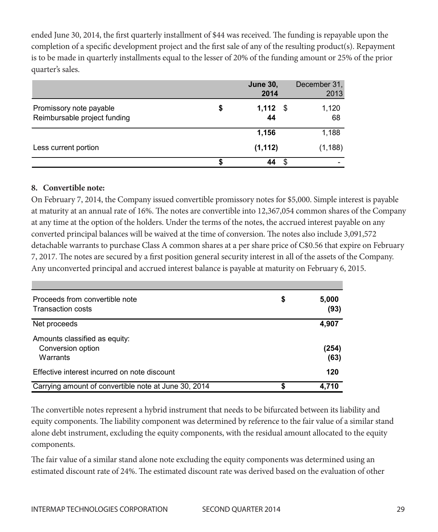ended June 30, 2014, the first quarterly installment of \$44 was received. The funding is repayable upon the completion of a specific development project and the first sale of any of the resulting product(s). Repayment is to be made in quarterly installments equal to the lesser of 20% of the funding amount or 25% of the prior quarter's sales.

|                                                         |   | <b>June 30,</b><br>2014 | December 31.<br>2013 |
|---------------------------------------------------------|---|-------------------------|----------------------|
| Promissory note payable<br>Reimbursable project funding | S | 1,112<br>- \$<br>44     | 1,120<br>68          |
|                                                         |   | 1,156                   | 1,188                |
| Less current portion                                    |   | (1, 112)                | (1, 188)             |
|                                                         |   |                         |                      |

# **8. Convertible note: 8. Convertible note:**

On February 7, 2014, the Company issued convertible promissory notes for \$5,000. Simple interest is payable at maturity at an annual rate of 16%. The notes are convertible into 12,367,054 common shares of the Company at any time at the option of the holders. Under the terms of the notes, the accrued interest payable on any converted principal balances will be waived at the time of conversion. The notes also include 3,091,572 detachable warrants to purchase Class A common shares at a per share price of C\$0.56 that expire on February 7, 2017. The notes are secured by a first position general security interest in all of the assets of the Company. Any unconverted principal and accrued interest balance is payable at maturity on February 6, 2015.

| Proceeds from convertible note<br><b>Transaction costs</b>     | \$<br>5,000<br>(93) |
|----------------------------------------------------------------|---------------------|
| Net proceeds                                                   | 4,907               |
| Amounts classified as equity:<br>Conversion option<br>Warrants | (254)<br>(63)       |
| Effective interest incurred on note discount                   | 120                 |
| Carrying amount of convertible note at June 30, 2014           | 4.710               |

The convertible notes represent a hybrid instrument that needs to be bifurcated between its liability and The convertible notes represent a hybrid instrument that needs to be bifurcated between its liability equity components. The liability component was determined by reference to the fair value of a similar stand and the liability component was determined by reference to the fair value of a similar stand alone debt instrument, excluding the equity components, with the residual amount allocated to the equity components.  $s = \frac{1}{\sqrt{2\pi}}$  stand alone debt instruments, with the excluding the residual amount of  $\frac{1}{\sqrt{2\pi}}$ 

The fair value of a similar stand alone note excluding the equity components was determined using an estimated discount rate of 24%. The estimated discount rate was derived based on the evaluation of other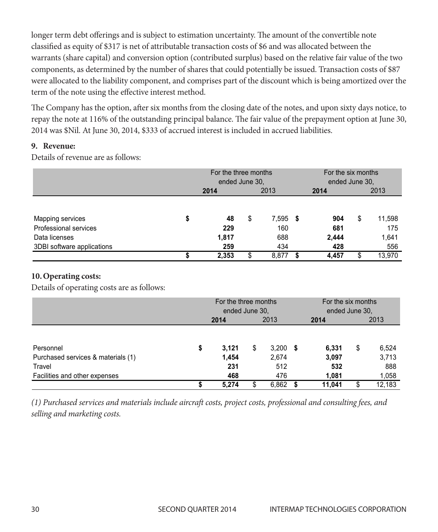longer term debt offerings and is subject to estimation uncertainty. The amount of the convertible note classified as equity of \$317 is net of attributable transaction costs of \$6 and was allocated between the warrants (share capital) and conversion option (contributed surplus) based on the relative fair value of the two warrants (snare capital) and conversion option (contributed surplus) based on the relative fair value of the two<br>components, as determined by the number of shares that could potentially be issued. Transaction costs of \$87 were allocated to the liability component, and comprises part of the discount which is being amortized over the  $\frac{1}{1}$  term of the note using the effective interest method. term of t

The Company has the option, after six months from the closing date of the notes, and upon sixty days notice, to repay the note at 116% of the outstanding principal balance. The fair value of the prepayment option at June 30, 2014 was \$Nil. At June 30, 2014, \$333 of accrued interest is included in accrued liabilities. **9. Revenue:**

#### **9. Revenue: 9. Revenue:**

Details of revenue are as follows: Details of revenue are as follows: Details of revenue are as follows:

|                                                                                          | For the three months<br>ended June 30, |                           |    |                            | For the six months<br>ended June 30, |                            |    |                               |
|------------------------------------------------------------------------------------------|----------------------------------------|---------------------------|----|----------------------------|--------------------------------------|----------------------------|----|-------------------------------|
|                                                                                          |                                        | 2014                      |    | 2013                       |                                      | 2014                       |    | 2013                          |
| Mapping services<br>Professional services<br>Data licenses<br>3DBI software applications |                                        | 48<br>229<br>1,817<br>259 | \$ | 7,595<br>160<br>688<br>434 | - 5                                  | 904<br>681<br>2,444<br>428 | \$ | 11,598<br>175<br>1,641<br>556 |
|                                                                                          |                                        | 2,353                     | S  | 8,877                      | S                                    | 4,457                      | \$ | 13,970                        |

#### **10.Operating costs: 10. Operating costs:**

Details of operating costs are as follows: Details of operating costs are as follows: Details of operating costs are as follows:

|                                    | For the three months<br>ended June 30. |       |    | For the six months<br>ended June 30, |     |        |    |        |
|------------------------------------|----------------------------------------|-------|----|--------------------------------------|-----|--------|----|--------|
|                                    |                                        | 2014  |    | 2013                                 |     | 2014   |    | 2013   |
|                                    |                                        |       |    |                                      |     |        |    |        |
| Personnel                          | \$                                     | 3.121 | \$ | 3,200                                | - 5 | 6,331  | \$ | 6,524  |
| Purchased services & materials (1) |                                        | 1.454 |    | 2,674                                |     | 3,097  |    | 3,713  |
| Travel                             |                                        | 231   |    | 512                                  |     | 532    |    | 888    |
| Facilities and other expenses      |                                        | 468   |    | 476                                  |     | 1,081  |    | 1,058  |
|                                    |                                        | 5,274 |    | 6,862                                |     | 11,041 | S  | 12,183 |
|                                    |                                        |       |    |                                      |     |        |    |        |

(1) Purchased services and materials include aircraft costs, project costs, professional and consulting fees, and<br>selling and marketing costs selling and marketing costs.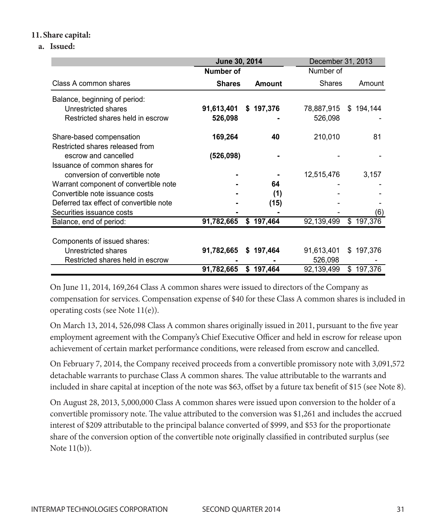#### **11.Share capital:**

#### **a. Issued: (a) Issued:**

|                                         | June 30, 2014 |  |               | December 31, 2013 |  |           |  |
|-----------------------------------------|---------------|--|---------------|-------------------|--|-----------|--|
|                                         | Number of     |  |               | Number of         |  |           |  |
| Class A common shares                   | <b>Shares</b> |  | <b>Amount</b> | <b>Shares</b>     |  | Amount    |  |
| Balance, beginning of period:           |               |  |               |                   |  |           |  |
| Unrestricted shares                     | 91,613,401    |  | \$197,376     | 78,887,915        |  | \$194,144 |  |
| Restricted shares held in escrow        | 526,098       |  |               | 526,098           |  |           |  |
| Share-based compensation                | 169,264       |  | 40            | 210,010           |  | 81        |  |
| Restricted shares released from         |               |  |               |                   |  |           |  |
| escrow and cancelled                    | (526,098)     |  |               |                   |  |           |  |
| Issuance of common shares for           |               |  |               |                   |  |           |  |
| conversion of convertible note          |               |  |               | 12,515,476        |  | 3,157     |  |
| Warrant component of convertible note   |               |  | 64            |                   |  |           |  |
| Convertible note issuance costs         |               |  | (1)           |                   |  |           |  |
| Deferred tax effect of convertible note |               |  | (15)          |                   |  |           |  |
| Securities issuance costs               |               |  |               |                   |  | (6)       |  |
| Balance, end of period:                 | 91,782,665    |  | \$197,464     | 92,139,499        |  | \$197,376 |  |
|                                         |               |  |               |                   |  |           |  |
| Components of issued shares:            |               |  |               |                   |  |           |  |
| Unrestricted shares                     | 91,782,665    |  | \$197,464     | 91,613,401        |  | \$197,376 |  |
| Restricted shares held in escrow        |               |  |               | 526,098           |  |           |  |
|                                         | 91,782,665    |  | \$197,464     | 92,139,499        |  | \$197,376 |  |

On June 11, 2014, 169,264 Class A common shares were issued to directors of the Company as compensation for services. Compensation expense of \$40 for these Class A common shares is included in On June 11, 2014, 169,264 Class A common shares were issued to directors of the Company as operating costs (see Note  $11(e)$ ).

On March 13, 2014, 526,098 Class A common shares originally issued in 2011, pursuant to the five year employment agreement with the Company's Chief Executive Officer and held in escrow for release upon achievement of certain market performance conditions, were released from escrow and cancelled.  $\mathbf{y}$ 

On February 7, 2014, the Company received proceeds from a convertible promissory note with 3,091,572 on receival for several processes a common shares. The value attributable to the warrants and detachable warrants to purchase Class A common shares. The value attributable to the warrants and included in share capital at inception of the note was \$63, offset by a future tax benefit of \$15 (see Note 8).

On August 28, 2013, 5,000,000 Class A common shares were issued upon conversion to the holder of a convertible promissory note. The value attributed to the conversion was \$1,261 and includes the accrued in the value attributed to the conversion was \$1,261 and includes the accrued interest of \$209 attributable to the principal balance converted of \$999, and \$53 for the proportionate share of the conversion option of the convertible note originally classified in contributed surplus (see Note  $11(b)$ ).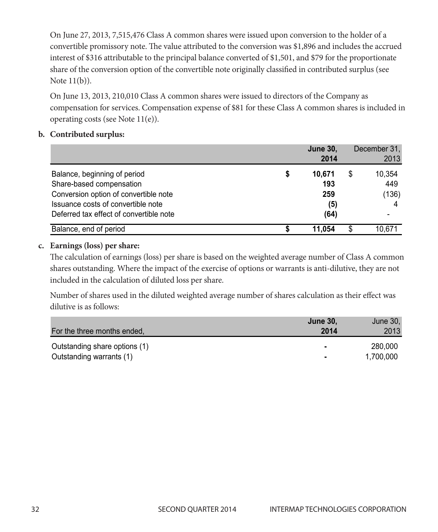On June 27, 2013, 7,515,476 Class A common shares were issued upon conversion to the holder of a convertible promissory note. The value attributed to the conversion was \$1,896 and includes the accrued in the conversion of the conversion of the conversion of the conversion of the conversion of the conversion of the con interest of \$316 attributable to the principal balance converted of \$1,501, and \$79 for the proportionate share of the conversion option of the convertible note originally classified in contributed surplus (see Note  $11(b)$ ).  $\overline{O}(1001 \text{ H})(0)$ 

On June 13, 2013, 210,010 Class A common shares were issued to directors of the Company as compensation for services. Compensation expense of \$81 for these Class A common shares is included in operating costs (see Note 11(e)).

#### **b. Contributed surplus: (b) Contributed surplus:**

|                                                                                                                                                                                    | <b>June 30,</b><br>2014                   | December 31.<br>2013         |
|------------------------------------------------------------------------------------------------------------------------------------------------------------------------------------|-------------------------------------------|------------------------------|
| Balance, beginning of period<br>Share-based compensation<br>Conversion option of convertible note<br>Issuance costs of convertible note<br>Deferred tax effect of convertible note | \$<br>10.671<br>193<br>259<br>(5)<br>(64) | \$<br>10,354<br>449<br>(136) |
| Balance, end of period                                                                                                                                                             | 11.054                                    | 10.671                       |

#### **c. Earnings (loss) per share:**  $T$  calculation of earnings (loss) per share is based on the weighted average number of  $C$

The calculation of earnings (loss) per share is based on the weighted average number of Class A common shares outstanding. Where the impact of the exercise of options or warrants is anti-dilutive, they are not included in the calculation of diluted loss per share.

Number of shares used in the diluted weighted average number of shares calculation as their effect was dilutive is as follows: Number of shares used in the diluted weighted average number of shares calculation as their effect

| For the three months ended,   | <b>June 30,</b><br>2014 | June 30,<br>2013 |
|-------------------------------|-------------------------|------------------|
| Outstanding share options (1) | ۰                       | 280,000          |
| Outstanding warrants (1)      | ٠                       | 1.700.000        |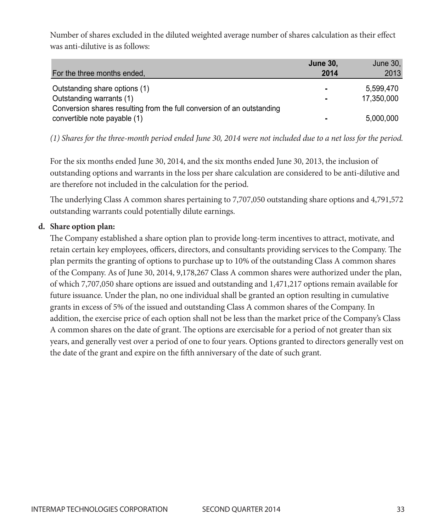Number of shares excluded in the diluted weighted average number of shares calculation as their effect was anti-dilutive is as follows:

| For the three months ended,                                                                        | <b>June 30,</b><br>2014 | June 30,<br>2013 |
|----------------------------------------------------------------------------------------------------|-------------------------|------------------|
| Outstanding share options (1)                                                                      | ٠                       | 5.599.470        |
| Outstanding warrants (1)<br>Conversion shares resulting from the full conversion of an outstanding | ۰                       | 17.350.000       |
| convertible note payable (1)                                                                       | ۰                       | 5,000,000        |

*(1) Shares for the three-month period ended June 30, 2014 were not included due to a net loss for the period.* (1) Shares for the three-month period ended June 30, 2014 were not included due to a net loss for

For the six months ended June 30, 2014, and the six months ended June 30, 2013, the inclusion of outstanding options and warrants in the loss per share calculation are considered to be anti-dilutive and are therefore not included in the calculation for the period.

The underlying Class A common shares pertaining to 7,707,050 outstanding share options and 4,791,572 outstanding warrants could potentially dilute earnings.

#### **d. Share option plan:**   $T_{\text{Rens}}$  a common shares pertaining to  $7,700$

The Company established a share option plan to provide long-term incentives to attract, motivate, and retain certain key employees, officers, directors, and consultants providing services to the Company. The plan permits the granting of options to purchase up to 10% of the outstanding Class A common shares plan permits the granting of options to purchase up to 10% of the outstanding Class A common shares of the Company. As of June 30, 2014, 9,178,267 Class A common shares were authorized under the plan, of which 7,707,050 share options are issued and outstanding and 1,471,217 options remain available for or which *rytoryees* chart options are issued and outstanding and *rytory*-prone resulting in cumulative future issuance. Under the plan, no one individual shall be granted an option resulting in cumulative grants in excess of 5% of the issued and outstanding Class A common shares of the Company. In addition, the exercise price of each option shall not be less than the market price of the Company's Class A common shares on the date of grant. The options are exercisable for a period of not greater than six  $\alpha$ years, and generally vest over a period of one to four years. Options granted to directors generally vest on the date of the grant and expire on the fifth anniversary of the date of such grant.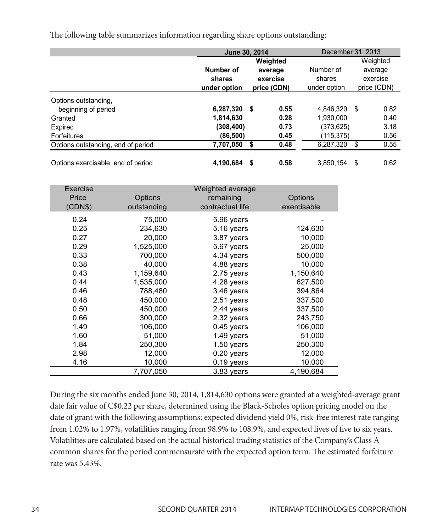The following table summarizes information regarding share options outstanding:

|                                    |                | June 30, 2014 |             |              | December 31, 2013 |             |  |  |
|------------------------------------|----------------|---------------|-------------|--------------|-------------------|-------------|--|--|
|                                    |                |               | Weighted    |              |                   | Weighted    |  |  |
|                                    | Number of      |               | average     | Number of    |                   | average     |  |  |
|                                    | shares         |               | exercise    | shares       |                   | exercise    |  |  |
|                                    | under option   |               | price (CDN) | under option |                   | price (CDN) |  |  |
| Options outstanding,               |                |               |             |              |                   |             |  |  |
| beginning of period                | $6,287,320$ \$ |               | 0.55        | 4.846.320    | \$                | 0.82        |  |  |
| Granted                            | 1,814,630      |               | 0.28        | 1,930,000    |                   | 0.40        |  |  |
| Expired                            | (308, 400)     |               | 0.73        | (373.625)    |                   | 3.18        |  |  |
| Forfeitures                        | (86,500)       |               | 0.45        | (115,375)    |                   | 0.56        |  |  |
| Options outstanding, end of period | 7,707,050      |               | 0.48        | 6,287,320    | \$                | 0.55        |  |  |
| Options exercisable, end of period | 4.190.684      | S             | 0.58        | 3.850.154    | S                 | 0.62        |  |  |

| Exercise<br>Price<br>(CDN\$) | Options<br>outstanding | Weighted average<br>remaining<br>contractual life | Options<br>exercisable |
|------------------------------|------------------------|---------------------------------------------------|------------------------|
| 0.24                         | 75,000                 | 5.96 years                                        |                        |
| 0.25                         | 234,630                | 5.16 years                                        | 124,630                |
| 0.27                         | 20,000                 | 3.87 years                                        | 10,000                 |
| 0.29                         | 1,525,000              | 5.67 years                                        | 25,000                 |
| 0.33                         | 700,000                | 4.34 years                                        | 500,000                |
| 0.38                         | 40,000                 | 4.88 years                                        | 10,000                 |
| 0.43                         | 1,159,640              | 2.75 years                                        | 1,150,640              |
| 0.44                         | 1,535,000              | 4.28 years                                        | 627,500                |
| 0.46                         | 788.480                | 3.46 years                                        | 394,864                |
| 0.48                         | 450,000                | 2.51 years                                        | 337,500                |
| 0.50                         | 450,000                | 2.44 years                                        | 337,500                |
| 0.66                         | 300,000                | 2.32 years                                        | 243,750                |
| 1.49                         | 106,000                | 0.45 years                                        | 106,000                |
| 1.60                         | 51,000                 | 1.49 years                                        | 51,000                 |
| 1.84                         | 250,300                | $1.50$ years                                      | 250,300                |
| 2.98                         | 12,000                 | $0.20$ years                                      | 12,000                 |
| 4.16                         | 10,000                 | 0.19 years                                        | 10,000                 |
|                              | 7,707,050              | 3.83 years                                        | 4,190,684              |

During the six months ended June 30, 2014, 1,814,630 options were granted at a weighted-average grant During the six months ended June 30, 2014, 1,814,630 options were granted at a weighted-average date fair value of C\$0.22 per share, determined using the Black-Scholes option pricing model on the date of grant with the following assumptions: expected dividend yield 0%, risk-free interest rate ranging from 1.02% to 1.97%, volatilities ranging from 98.9% to 108.9%, and expected lives of five to six years. Volatilities are calculated based on the actual historical trading statistics of the Company's Class A volatilities are calculated stated on the detail instorted trading statistics of the company of class 11 common shares for the period commensurate with the expected option term. The estimated forfeiture rate was 5.43%.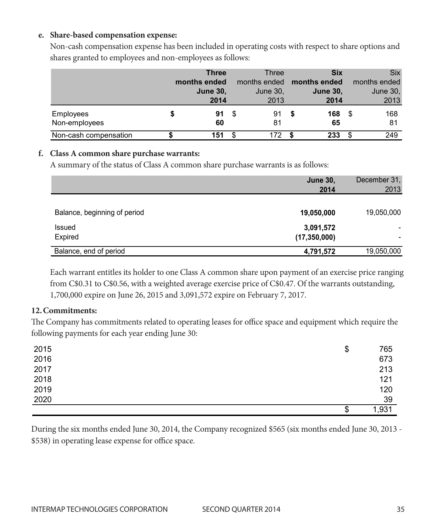#### e. Share-based compensation expense:

Non-cash compensation expense has been included in operating costs with respect to share options and shares granted to employees and non-employees as follows: shares granted to employees and non-employees as follows: onative granted to vinprop ved and non-emploped as follows.

|                       |   | <b>Three</b>    |      | Three    | <b>Six</b>                       |     | <b>Six</b>   |
|-----------------------|---|-----------------|------|----------|----------------------------------|-----|--------------|
|                       |   | months ended    |      |          | months ended <b>months ended</b> |     | months ended |
|                       |   | <b>June 30,</b> |      | June 30, | <b>June 30,</b>                  |     | June $301$   |
|                       |   | 2014            |      | 2013     | 2014                             |     | 2013         |
| Employees             | S | 91              | - \$ | 91       | 168                              |     | 168          |
| Non-employees         |   | 60              |      | 81       | 65                               |     | 81           |
| Non-cash compensation |   | 151             |      | 172      | 233                              | \$. | 249          |

# **f. Class A common share purchase warrants: (f) Class A common share purchase warrants:**

A summary of the status of Class A common share purchase warrants is as follows: A summary of the status of Class A common share purchase warrants is as follows: **2014** 2013

|                                   | <b>June 30,</b><br>2014     | December 31,<br>2013 |
|-----------------------------------|-----------------------------|----------------------|
| Balance, beginning of period      | 19,050,000                  | 19,050,000           |
| Issued                            | 3,091,572                   |                      |
| Expired<br>Balance, end of period | (17, 350, 000)<br>4,791,572 | 19,050,000           |

Each warrant entitles its holder to one Class A common share upon payment of an exercise price ranging Each warrant entitles its holder to one Class A common share upon payment of an exercise price from C\$0.31 to C\$0.56, with a weighted average exercise price of C\$0.47. Of the warrants outstanding, 1,700,000 expire on June 26, 2015 and 3,091,572 expire on February 7, 2017.

#### **12.Commitments:**

12. Communents.<br>The Company has commitments related to operating leases for office space and equipment which require the following payments for each year ending June 30:

| 2015 | \$<br>765   |
|------|-------------|
| 2016 | 673         |
| 2017 | 213         |
| 2018 | 121         |
| 2019 | 120         |
| 2020 | 39          |
|      | \$<br>1,931 |
|      |             |

During the six months ended June 30, 2014, the Company recognized \$565 (six months ended June 30, 2013 -\$538) in operating lease expense for office space.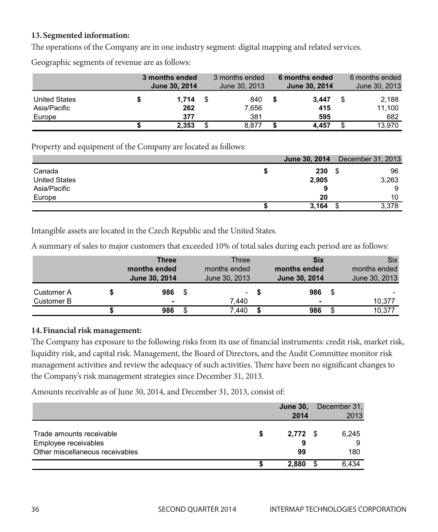#### 13. Segmented information:

The operations of the Company are in one industry segment: digital mapping and related services. The operations of the Company are industry segmential morning and related services. The company are industry services. The company are in our company and related services. The company are in the company and related service INTED PERIODIS OF THE COMPANY ATC IN ONE MUASH **y** segment, then mapping and related set  $\sigma$  ( $\sigma$ )  $\sigma$  and  $\sigma$  of the Company are in one industry except the distribution of Inc open

|               | 3 months ended | 3 months ended |   | 6 months ended |   | 6 months ended |
|---------------|----------------|----------------|---|----------------|---|----------------|
|               | June 30, 2014  | June 30, 2013  |   | June 30, 2014  |   | June 30, 2013  |
| United States | 1.714          | 840            | S | 3.447          | S | 2.188          |
| Asia/Pacific  | 262            | 7,656          |   | 415            |   | 11.100         |
| Europe        | 377            | 381            |   | 595            |   | 682            |
|               | 2.353          | 8.877          |   | 4.457          |   | 13.970         |

Property and equipment of the Company are located as follows: Property and equipment of the Company are located as follows:

|                      |       |      | <b>June 30, 2014</b> December 31, 2013 |
|----------------------|-------|------|----------------------------------------|
| Canada               | 230   | - 35 | 96                                     |
| <b>United States</b> | 2,905 |      | 3,263                                  |
| Asia/Pacific         |       |      |                                        |
| Europe               | 20    |      | 10                                     |
|                      | 3,164 |      | 3,378                                  |

Intangible assets are located in the Czech Republic and the United States. **m** the Czech Republic and the United States.

A summary of sales to major customers that exceeded 10% of total sales during each period are as follows:

|            | <b>Three</b><br>months ended<br>June 30, 2014 |      | Three<br>months ended<br>June 30, 2013 |   | <b>Six</b><br>months ended<br>June 30, 2014 | <b>Six</b><br>months ended<br>June 30, 2013 |
|------------|-----------------------------------------------|------|----------------------------------------|---|---------------------------------------------|---------------------------------------------|
| Customer A | 986                                           | - \$ | $\sim$                                 | S | 986                                         |                                             |
| Customer B |                                               |      | 7.440                                  |   | ۰                                           | 10,377                                      |
|            | 986                                           | \$   | 7.440                                  |   | 986                                         | 10,377                                      |

#### **14.** Financial risk management: The Board of Directors, and the Board of Directors, and the Audit of Directors, and the Audit of Directors, and the Audit of Directors, and the Audit of Directors, and the Audit of Director **\$ 986** \$ 7,440 **\$ 986** \$ 10,377

The Company has exposure to the following risks from its use of financial instruments: credit risk, market risk, In Company has exposure to the following risks from its use of infiancial instruments: credit risk, market risk<br>Iiquidity risk, and capital risk. Management, the Board of Directors, and the Audit Committee monitor risk management activities and review the adequacy of such activities. There have been no significant changes to the Company's risk management strategies since December 31, 2013. have been not significant the management, the board of Directors, and the Audit Committee montor risk

Amounts receivable as of June 30, 2014, and December 31, 2013, consist of:

|                                                  | <b>June 30,</b><br>2014 | December 31,<br>2013 |
|--------------------------------------------------|-------------------------|----------------------|
| Trade amounts receivable<br>Employee receivables | \$<br>$2,772$ \$<br>9   | 6,245<br>9           |
| Other miscellaneous receivables                  | 99                      | 180                  |
|                                                  | 2.880                   | 6.434                |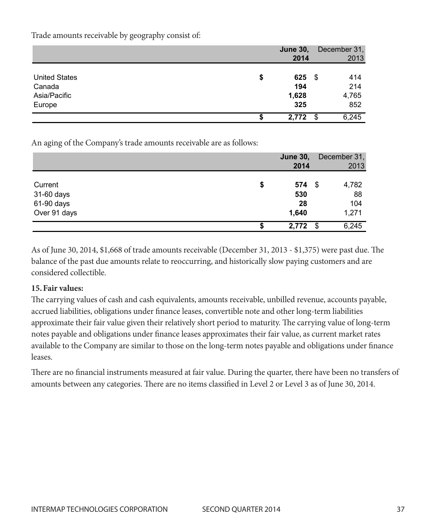|                      |    | <b>June 30,</b><br>2014 | December 31,<br>2013 |
|----------------------|----|-------------------------|----------------------|
| <b>United States</b> | \$ | 625                     | 414<br>- \$          |
| Canada               |    | 194                     | 214                  |
| Asia/Pacific         |    | 1,628                   | 4,765                |
| Europe               |    | 325                     | 852                  |
|                      | S  | 2.772                   | 6,245<br>- \$        |

Trade amounts receivable by geography consist of: Trade amounts receivable by geography consist of:

An aging of the Company's trade amounts receivable are as follows: An aging of the Company's trade amounts receivable are as follows:

|              |   | <b>June 30,</b><br>2014 |      | December 31,<br>2013 |
|--------------|---|-------------------------|------|----------------------|
| Current      | S | 574                     | - \$ | 4,782                |
| 31-60 days   |   | 530                     |      | 88                   |
| 61-90 days   |   | 28                      |      | 104                  |
| Over 91 days |   | 1,640                   |      | 1,271                |
|              |   | 2,772                   | -S   | 6,245                |

As of June 30, 2014, \$1,668 of trade amounts receivable (December 31, 2013 - \$1,375) were past due. The For or june 50, 2014, 44,000 or trade uniousno receivable (Becember 54, 2016, 44,675) were past due. The balance of the past due amounts relate to reoccurring, and historically slow paying customers and are considered collectible.

# **15.Fair values: 15. Fair values:**

The carrying values of cash and cash equivalents, amounts receivable, unbilled revenue, accounts payable, accrued liabilities, obligations under finance leases, convertible note and other long-term liabilities approximate their fair value given their relatively short period to maturity. The carrying value of long-term notes payable and obligations under finance leases approximates their fair value, as current market rates approximates their relatively short period to maturity. The carrying of the carrying of the carrying of the carrying available to the Company are similar to those on the long-term notes payable and obligations under finance leases.  $\mathcal{V}$  leases payable and obligations under finance leases approximately fair value,  $\mathcal{V}$ 

There are no financial instruments measured at fair value. During the quarter, there have been no transfers of amounts between any categories. There are no items classified in Level 2 or Level 3 as of June 30, 2014.